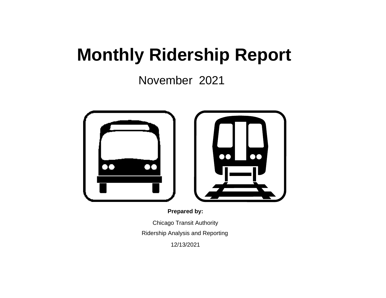# **Monthly Ridership Report**

November 2021



**Prepared by:**

Chicago Transit Authority Ridership Analysis and Reporting

12/13/2021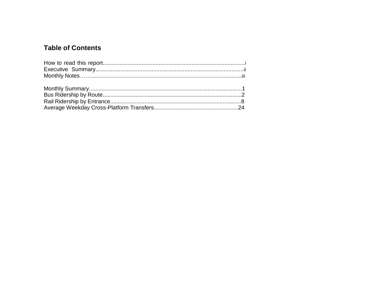### **Table of Contents**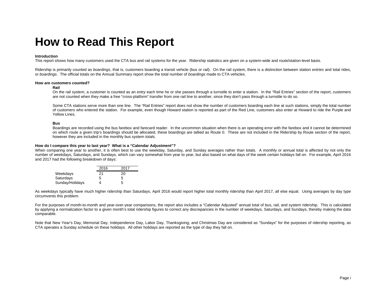### **How to Read This Report**

#### **Introduction**

This report shows how many customers used the CTA bus and rail systems for the year. Ridership statistics are given on a system-wide and route/station-level basis.

Ridership is primarily counted as *boardings*, that is, customers boarding a transit vehicle (bus or rail). On the rail system, there is a distinction between station *entries* and total rides, or *boardings*. The official totals on the Annual Summary report show the total number of *boardings* made to CTA vehicles.

#### **How are customers counted?**

#### **Rail**

On the rail system, a customer is counted as an *entry* each time he or she passes through a turnstile to enter a station. In the "Rail Entries" section of the report, customers are not counted when they make a free "cross-platform" transfer from one rail line to another, since they don't pass through a turnstile to do so.

Some CTA stations serve more than one line. The "Rail Entries" report does not show the number of customers boarding each line at such stations, simply the total number of customers who entered the station. For example, even though Howard station is reported as part of the Red Line, customers also enter at Howard to ride the Purple and Yellow Lines.

#### **Bus**

Boardings are recorded using the bus farebox and farecard reader. In the uncommon situation when there is an operating error with the farebox and it cannot be determined on which route a given trip's boardings should be allocated, these boardings are tallied as Route 0. These are not included in the Ridership by Route section of the report, however they are included in the monthly bus system totals.

#### **How do I compare this year to last year? What is a "Calendar Adjustment"?**

When comparing one year to another, it is often best to use the weekday, Saturday, and Sunday averages rather than totals. A monthly or annual total is affected by not only the number of weekdays, Saturdays, and Sundays, which can vary somewhat from year to year, but also based on what days of the week certain holidays fall on. For example, April 2016 and 2017 had the following breakdown of days:

|                 | 2016 | 2017 |  |
|-----------------|------|------|--|
| Weekdays        | 21   | 20   |  |
| Saturdays       | 5    | 5    |  |
| Sunday/Holidays |      | 5    |  |

As weekdays typically have much higher ridership than Saturdays, April 2016 would report higher total monthly ridership than April 2017, all else equal. Using averages by day type circumvents this problem.

For the purposes of month-to-month and year-over-year comparisons, the report also includes a "Calendar Adjusted" annual total of bus, rail, and system ridership. This is calculated by applying a normalization factor to a given month's total ridership figures to correct any discrepancies in the number of weekdays, Saturdays, and Sundays, thereby making the data comparable.

Note that New Year's Day, Memorial Day, Independence Day, Labor Day, Thanksgiving, and Christmas Day are considered as "Sundays" for the purposes of ridership reporting, as CTA operates a Sunday schedule on these holidays. All other holidays are reported as the type of day they fall on.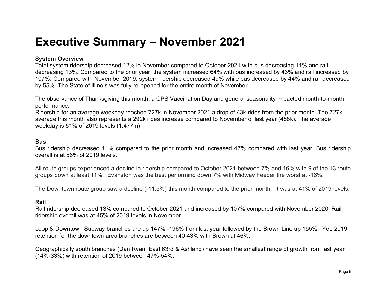### **Executive Summary – November 2021**

#### **System Overview**

Total system ridership decreased 12% in November compared to October 2021 with bus decreasing 11% and rail decreasing 13%. Compared to the prior year, the system increased 64% with bus increased by 43% and rail increased by 107%. Compared with November 2019, system ridership decreased 49% while bus decreased by 44% and rail decreased by 55%. The State of Illinois was fully re-opened for the entire month of November.

The observance of Thanksgiving this month, a CPS Vaccination Day and general seasonality impacted month-to-month performance.

Ridership for an average weekday reached 727k in November 2021 a drop of 43k rides from the prior month. The 727k average this month also represents a 292k rides increase compared to November of last year (488k). The average weekday is 51% of 2019 levels (1.477m).

#### **Bus**

Bus ridership decreased 11% compared to the prior month and increased 47% compared with last year. Bus ridership overall is at 56% of 2019 levels.

All route groups experienced a decline in ridership compared to October 2021 between 7% and 16% with 9 of the 13 route groups down at least 11%. Evanston was the best performing down 7% with Midway Feeder the worst at -16%.

The Downtown route group saw a decline (-11.5%) this month compared to the prior month. It was at 41% of 2019 levels.

#### **Rail**

Rail ridership decreased 13% compared to October 2021 and increased by 107% compared with November 2020. Rail ridership overall was at 45% of 2019 levels in November.

Loop & Downtown Subway branches are up 147% -196% from last year followed by the Brown Line up 155%. Yet, 2019 retention for the downtown area branches are between 40-43% with Brown at 46%.

Geographically south branches (Dan Ryan, East 63rd & Ashland) have seen the smallest range of growth from last year (14%-33%) with retention of 2019 between 47%-54%.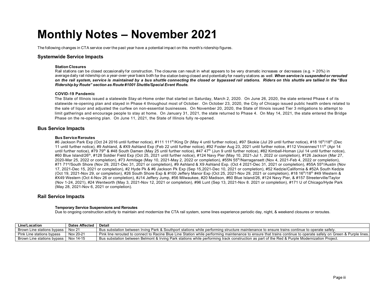### **Monthly Notes – November 2021**

The following changes in CTA service over the past year have a potential impact on this month's ridership figures.

#### **Systemwide Service Impacts**

#### **Station Closures**

Rail stations can be closed occasionally for construction. The closures can result in what appears to be very dramatic increases or decreases (e.g. > 20%) in average daily rail ridership on a year-over-year basis both for the station being closed and potentially for nearby stations as well. *When service is suspended or rerouted* on the rail system, service is maintained by a bus shuttle connecting the closed or bypassed rail stations. Riders on this shuttle are tallied in the "Bus" *Ridership by Route" section as Route #1001 Shuttle/Special Event Route.*

#### **COVID-19 Pandemic**

The State of Illinois issued a statewide Stay-at-Home order that started on Saturday, March 2, 2020. On June 26, 2020, the state entered Phase 4 of its statewide re-opening plan and stayed in Phase 4 throughout most of October. On October 23, 2020, the City of Chicago issued public health orders related to the sale of liquor and adjusted the curfew on non-essential businesses. On November 20, 2020, the State of Illinois issued Tier 3 mitigations to attempt to limit gatherings and encourage people to stay at home. On January 31, 2021, the state returned to Phase 4. On May 14, 2021, the state entered the Bridge Phase on the re-opening plan. On June 11, 2021, the State of Illinois fully re-opened.

#### **Bus Service Impacts**

#### **Bus Service Reroutes**

#6 Jackson Park Exp (Oct 24 2016 until further notice), #111 111<sup>th</sup>/King Dr (May 4 until further notice), #97 Skokie (Jul 29 until further notice), #18 16<sup>th</sup>/18<sup>th</sup> (Dec 11 until further notice), #9 Ashland, & #X9 Ashland Exp (Feb 22 until further notice), #92 Foster Aug 23, 2021 until further notice, #112 Vincennes/111th (Apr 14 until further notice), #79 79<sup>th</sup> & #48 South Damen (May 25 until further notice), #47 47<sup>th</sup> (Jun 9 until further notice), #82 Kimball-Homan (Jul 14 until further notice), #60 Blue Island/26<sup>th</sup>, #128 Soldier Field Exp (Oct 25, 2021 until further notice), #124 Navy Pier (May 10, 2021-Jul 1, 2022 or completion), #126 Jackson (Mar 27, 2020-Mar 25, 2022 or completion), #73 Armitage (May 10, 2021-May 2, 2022 or completion), #55N 55th/Narragansett (Nov 4, 2021-Feb 4, 2022 or completion), #71 71<sup>st</sup>/South Shore (Nov 29, 2021-Dec 31, 2021 or completion), #9 Ashland & X9 Ashland Exp. (Oct 4 2021-Dec 31, 2021 or completion), #55A 55<sup>th</sup>/Austin (Nov 17, 2021-Dec 15, 2021 or completion), #2 Hyde Pk & #6 Jackson Pk Exp (Sep 15,2021-Dec 10, 2021 or completion), #52 Kedzie/California & #52A South Kedzie (Oct 19, 2021-Nov 29, or completion), #26 South Shore Exp & #100 Jeffery Manor Exp (Oct 25, 2021-Nov 29, 2021 or completion), #18 16th/18th #49 Western & #X49 Western (Oct 4-Nov 26 or completion), #J14 Jeffery Jump, #56 Milwaukee, #20 Madison, #60 Blue Island/26, #124 Navy Pier, & #157 Streeterville/Taylor (Nov 1-24, 2021), #24 Wentworth (May 3, 2021-Nov 12, 2021 or completion), #96 Lunt (Sep 13, 2021-Nov 8. 2021 or completion), #171 U of Chicago/Hyde Park (May 28, 2021-Nov 6, 2021 or completion).

#### **Rail Service Impacts**

#### **Temporary Service Suspensions and Reroutes**

Due to ongoing construction activity to maintain and modernize the CTA rail system, some lines experience periodic day, night, & weekend closures or reroutes.

| Line/Location              | Dates Affected | Detail                                                                                                                                                           |
|----------------------------|----------------|------------------------------------------------------------------------------------------------------------------------------------------------------------------|
| Brown Line stations bypass | <b>Nov 21</b>  | . Bus substation between Irving Park & Southport stations while performing structure maintenance to ensure trains continue to operate safely.                    |
| Pink Line stations bypass  | Nov 20-21      | Pink line rerouted to connect to Racine Blue Line Station while performing maintenance to ensure that trains continue to operate safely on Green & Purple lines. |
| Brown Line stations bypass | Nov 14-15      | Bus substation between Belmont & Irving Park stations while performing track construction as part of the Red & Purple Modernization Project.                     |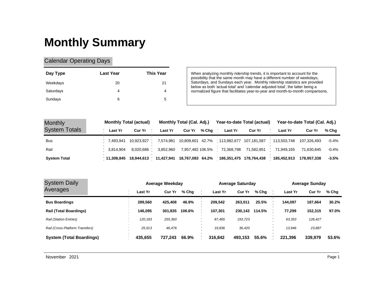# **Monthly Summary**

### Calendar Operating Days

| Day Type  | <b>Last Year</b> | <b>This Year</b> |
|-----------|------------------|------------------|
| Weekdays  | 20               | 21               |
| Saturdays | 4                | 4                |
| Sundays   | 6                | 5                |

When analyzing monthly ridership trends, it is important to account for the possibility that the same month may have a different number of weekdays, Saturdays, and Sundays each year. Monthly ridership statistics are provided below as both 'actual total' and 'calendar adjusted total', the latter being a normalized figure that facilitates year-to-year and month-to-month comparisons.

| <b>Monthly</b>       |              | <b>Monthly Total (actual)</b> |                | Monthly Total (Cal. Adj.) |       |                                                  | Year-to-date Total (actual)                                                | Year-to-date Total (Cal. Adj.) |             |       |  |
|----------------------|--------------|-------------------------------|----------------|---------------------------|-------|--------------------------------------------------|----------------------------------------------------------------------------|--------------------------------|-------------|-------|--|
| <b>System Totals</b> | Last Yr      | Cur Yr                        | <b>Last Yr</b> | Cur Yr                    | % Cha | Last Yr                                          | <b>Cur Yr</b>                                                              | <b>Last Yr</b>                 | Cur Yr      | % Cha |  |
| <b>Bus</b>           |              |                               |                |                           |       |                                                  | 7,574,981 10,809,601 42.7% 113,982,677 107,181,587 113,503,748 107,326,493 |                                |             | -5.4% |  |
| Rail                 | 3.814.904    | 8.020.686                     |                |                           |       | 3,852,960 7,957,482 106.5% 72,368,798 71,582,851 |                                                                            | 71.949.165                     | 71.630.845  | -0.4% |  |
| <b>System Total</b>  | ່ 11.308.845 | 18.944.613                    |                |                           |       |                                                  |                                                                            | 185,452,913                    | 178.957.338 | -3.5% |  |

| <b>System Daily</b>             |         | Average Weekday        |         | <b>Average Saturday</b> |         | <b>Average Sunday</b> |       |  |  |  |  |
|---------------------------------|---------|------------------------|---------|-------------------------|---------|-----------------------|-------|--|--|--|--|
| Averages                        | Last Yr | <b>Cur Yr</b><br>% Cha | Last Yr | <b>Cur Yr</b><br>% Chg  | Last Yr | <b>Cur Yr</b>         | % Cha |  |  |  |  |
| <b>Bus Boardings</b>            | 289.560 | 425.408<br>46.9%       | 209.542 | 25.5%<br>263,011        | 144.097 | 187,664               | 30.2% |  |  |  |  |
| <b>Rail (Total Boardings)</b>   | 146.095 | 301.835<br>106.6%      | 107.301 | 114.5%<br>230.143       | 77.299  | 152.315               | 97.0% |  |  |  |  |
| <b>Rail (Station Entries)</b>   | 120,183 | 255,360                | 87.465  | 193,723                 | 63,353  | 128,427               |       |  |  |  |  |
| Rail (Cross-Platform Transfers) | 25.913  | 46.476                 | 19.836  | 36,420                  | 13.946  | 23,887                |       |  |  |  |  |
| <b>System (Total Boardings)</b> | 435.655 | 66.9%<br>727.243       | 316.842 | 55.6%<br>493.153        | 221.396 | 339.979               | 53.6% |  |  |  |  |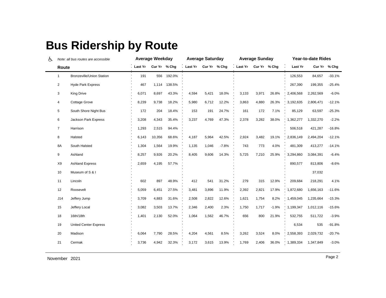## **Bus Ridership by Route**

| ሌ |                | Note: all bus routes are accessible |         | <b>Average Weekday</b> |        | <b>Average Saturday</b> |              |         |         | <b>Average Sunday</b> |         | Year-to-date Rides |           |          |
|---|----------------|-------------------------------------|---------|------------------------|--------|-------------------------|--------------|---------|---------|-----------------------|---------|--------------------|-----------|----------|
|   | Route          |                                     | Last Yr | Cur Yr % Chg           |        | Last Yr                 | Cur Yr % Chg |         | Last Yr | Cur Yr % Chg          |         | Last Yr            | Cur Yr    | % Chg    |
|   | 1              | <b>Bronzeville/Union Station</b>    | 191     | 556                    | 192.0% |                         |              |         |         |                       |         | 126,553            | 84,657    | $-33.1%$ |
|   | $\overline{2}$ | <b>Hyde Park Express</b>            | 467     | 1,114                  | 138.5% |                         |              |         |         |                       |         | 267,390            | 199,355   | $-25.4%$ |
|   | 3              | <b>King Drive</b>                   | 6,071   | 8,697                  | 43.3%  | 4,594                   | 5,421        | 18.0%   | 3,133   | 3,971                 | 26.8%   | 2,406,568          | 2,262,569 | $-6.0%$  |
|   | $\overline{4}$ | <b>Cottage Grove</b>                | 8,239   | 9,738                  | 18.2%  | 5,980                   | 6,712        | 12.2%   | 3,863   | 4,880                 | 26.3%   | 3,192,635          | 2,806,471 | $-12.1%$ |
|   | 5              | South Shore Night Bus               | 172     | 204                    | 18.4%  | 153                     | 191          | 24.7%   | 161     | 172                   | 7.1%    | 85,129             | 63,597    | $-25.3%$ |
|   | 6              | Jackson Park Express                | 3,208   | 4,343                  | 35.4%  | 3,237                   | 4,769        | 47.3%   | 2,378   | 3,282                 | 38.0%   | 1,362,277          | 1,332,270 | $-2.2%$  |
|   | $\overline{7}$ | Harrison                            | 1,293   | 2,515                  | 94.4%  |                         |              |         |         |                       |         | 506,518            | 421,287   | $-16.8%$ |
|   | 8              | Halsted                             | 6,143   | 10,356                 | 68.6%  | 4,187                   | 5,964        | 42.5%   | 2,924   | 3,482                 | 19.1%   | 2,836,149          | 2,494,204 | $-12.1%$ |
|   | 8A             | South Halsted                       | 1,304   | 1,564                  | 19.9%  | 1,135                   | 1,046        | $-7.8%$ | 743     | 773                   | 4.0%    | 481,309            | 413,277   | $-14.1%$ |
|   | 9              | Ashland                             | 8,257   | 9,926                  | 20.2%  | 8,405                   | 9,606        | 14.3%   | 5,725   | 7,210                 | 25.9%   | 3,294,860          | 3,084,391 | $-6.4%$  |
|   | X9             | <b>Ashland Express</b>              | 2,659   | 4,195                  | 57.7%  |                         |              |         |         |                       |         | 890,577            | 813,806   | $-8.6%$  |
|   | 10             | Museum of S & I                     |         |                        |        |                         |              |         |         |                       |         |                    | 37,032    |          |
|   | 11             | Lincoln                             | 602     | 897                    | 48.9%  | 412                     | 541          | 31.2%   | 279     | 315                   | 12.9%   | 209,684            | 218,291   | 4.1%     |
|   | 12             | Roosevelt                           | 5,059   | 6,451                  | 27.5%  | 3,481                   | 3,896        | 11.9%   | 2,392   | 2,821                 | 17.9%   | 1,872,680          | 1,656,163 | $-11.6%$ |
|   | J14            | Jeffery Jump                        | 3,709   | 4,883                  | 31.6%  | 2,508                   | 2,822        | 12.6%   | 1,621   | 1,754                 | 8.2%    | 1,459,045          | 1,235,664 | $-15.3%$ |
|   | 15             | Jeffery Local                       | 3,082   | 3,503                  | 13.7%  | 2,346                   | 2,400        | 2.3%    | 1,750   | 1,717                 | $-1.9%$ | 1,199,347          | 1,012,116 | $-15.6%$ |
|   | 18             | 16th/18th                           | 1,401   | 2,130                  | 52.0%  | 1,064                   | 1,562        | 46.7%   | 656     | 800                   | 21.9%   | 532,755            | 511,722   | $-3.9%$  |
|   | 19             | <b>United Center Express</b>        |         |                        |        |                         |              |         |         |                       |         | 6,534              | 535       | $-91.8%$ |
|   | 20             | Madison                             | 6,064   | 7,790                  | 28.5%  | 4,204                   | 4,561        | 8.5%    | 3,262   | 3,524                 | 8.0%    | 2,558,393          | 2,029,732 | $-20.7%$ |
|   | 21             | Cermak                              | 3,736   | 4,942                  | 32.3%  | 3,172                   | 3,615        | 13.9%   | 1,769   | 2,406                 | 36.0%   | 1,389,334          | 1,347,849 | $-3.0%$  |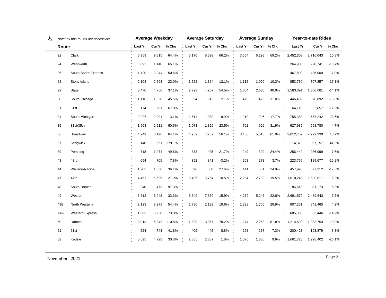| ৬ |       | Note: all bus routes are accessible |         | Average Weekday |        | <b>Average Saturday</b> |       |          |                      | <b>Average Sunday</b> |          | Year-to-date Rides |           |              |  |
|---|-------|-------------------------------------|---------|-----------------|--------|-------------------------|-------|----------|----------------------|-----------------------|----------|--------------------|-----------|--------------|--|
|   | Route |                                     | Last Yr | Cur Yr % Chg    |        | Last Yr Cur Yr % Chg    |       |          | Last Yr Cur Yr % Chg |                       |          | Last Yr            |           | Cur Yr % Chg |  |
|   | 22    | Clark                               | 5,969   | 9,815           | 64.4%  | 5,170                   | 8,593 | 66.2%    | 3,664                | 6,198                 | 69.2%    | 2,452,308          | 2,716,043 | 10.8%        |  |
|   | 24    | Wentworth                           | 691     | 1,140           | 65.1%  |                         |       |          |                      |                       |          | 264,903            | 228,741   | $-13.7%$     |  |
|   | 26    | South Shore Express                 | 1,490   | 2,244           | 50.6%  |                         |       |          |                      |                       |          | 467,899            | 435,009   | $-7.0%$      |  |
|   | 28    | Stony Island                        | 2,108   | 2,593           | 23.0%  | 1,552                   | 1,364 | $-12.1%$ | 1,115                | 1,000                 | $-10.3%$ | 853,780            | 707,857   | $-17.1%$     |  |
|   | 29    | State                               | 3,470   | 4,756           | 37.1%  | 2,723                   | 4,207 | 54.5%    | 1,804                | 2,686                 | 48.9%    | 1,583,391          | 1,360,081 | $-14.1%$     |  |
|   | 30    | South Chicago                       | 1,118   | 1,628           | 45.5%  | 894                     | 913   | 2.1%     | 475                  | 423                   | $-11.0%$ | 446,489            | 376,892   | $-15.6%$     |  |
|   | 31    | 31st                                | 174     | 291             | 67.0%  |                         |       |          |                      |                       |          | 64,110             | 52,657    | $-17.9%$     |  |
|   | 34    | South Michigan                      | 2,027   | 2,091           | 3.1%   | 1,514                   | 1,380 | $-8.9%$  | 1,210                | 996                   | $-17.7%$ | 755,383            | 577,242   | $-23.6%$     |  |
|   | 35    | 31st/35th                           | 1,563   | 2,511           | 60.6%  | 1,073                   | 1,326 | 23.5%    | 702                  | 926                   | 31.9%    | 627,985            | 598,780   | $-4.7%$      |  |
|   | 36    | Broadway                            | 4,949   | 8,120           | 64.1%  | 4,989                   | 7,787 | 56.1%    | 3,408                | 5,518                 | 61.9%    | 2,012,752          | 2,279,339 | 13.2%        |  |
|   | 37    | Sedgwick                            | 140     | 391             | 179.1% |                         |       |          |                      |                       |          | 114,379            | 67,157    | $-41.3%$     |  |
|   | 39    | Pershing                            | 718     | 1,074           | 49.6%  | 333                     | 405   | 21.7%    | 249                  | 309                   | 24.4%    | 256,442            | 236,999   | $-7.6%$      |  |
|   | 43    | 43rd                                | 654     | 705             | 7.8%   | 352                     | 341   | $-3.2%$  | 263                  | 273                   | 3.7%     | 223,765            | 189,677   | $-15.2%$     |  |
|   | 44    | Wallace-Racine                      | 1,202   | 1,636           | 36.1%  | 696                     | 888   | 27.6%    | 441                  | 551                   | 24.9%    | 457,998            | 377,312   | $-17.6%$     |  |
|   | 47    | 47th                                | 4,451   | 5,695           | 27.9%  | 3,406                   | 3,764 | 10.5%    | 2,284                | 2,730                 | 19.5%    | 1,610,249          | 1,509,811 | $-6.2%$      |  |
|   | 48    | South Damen                         | 240     | 473             | 97.3%  |                         |       |          |                      |                       |          | 86,618             | 81,173    | $-6.3%$      |  |
|   | 49    | Western                             | 6,712   | 8,948           | 33.3%  | 6,349                   | 7,360 | 15.9%    | 4,279                | 5,246                 | 22.6%    | 2,691,572          | 2,489,643 | $-7.5%$      |  |
|   | 49B   | North Western                       | 2,123   | 3,278           | 54.4%  | 1,780                   | 2,129 | 19.6%    | 1,323                | 1,706                 | 28.9%    | 807,261            | 841,465   | 4.2%         |  |
|   | X49   | <b>Western Express</b>              | 1,883   | 3,258           | 73.0%  |                         |       |          |                      |                       |          | 685,335            | 583,446   | $-14.9%$     |  |
|   | 50    | Damen                               | 3,013   | 6,343           | 110.5% | 1,890                   | 3,367 | 78.2%    | 1,244                | 2,263                 | 81.8%    | 1,214,599          | 1,383,753 | 13.9%        |  |
|   | 51    | 51st                                | 524     | 743             | 41.8%  | 409                     | 445   | 8.8%     | 268                  | 287                   | 7.3%     | 200,423            | 193,879   | $-3.3%$      |  |
|   | 52    | Kedzie                              | 3,625   | 4,723           | 30.3%  | 2,805                   | 2,857 | 1.8%     | 1,670                | 1,830                 | 9.6%     | 1,661,725          | 1,228,402 | $-26.1%$     |  |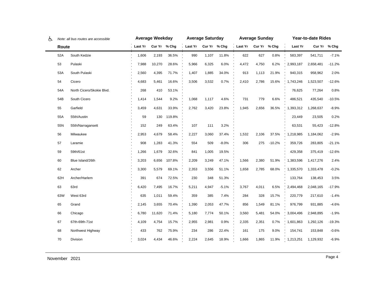| ሌ |       | Note: all bus routes are accessible | <b>Average Weekday</b> |              |        | <b>Average Saturday</b> |       |         |                      | <b>Average Sunday</b> |          | Year-to-date Rides |           |              |
|---|-------|-------------------------------------|------------------------|--------------|--------|-------------------------|-------|---------|----------------------|-----------------------|----------|--------------------|-----------|--------------|
|   | Route |                                     | . Last Yr              | Cur Yr % Chg |        | Last Yr Cur Yr % Chg    |       |         | Last Yr Cur Yr % Chg |                       |          | Last Yr            |           | Cur Yr % Chg |
|   | 52A   | South Kedzie                        | 1,606                  | 2,193        | 36.5%  | 990                     | 1,107 | 11.8%   | 622                  | 627                   | 0.8%     | 583,397            | 541,711   | $-7.1%$      |
|   | 53    | Pulaski                             | 7,988                  | 10,270       | 28.6%  | 5,966                   | 6,325 | 6.0%    | 4,472                | 4,750                 | 6.2%     | 2,993,187          | 2,658,481 | $-11.2%$     |
|   | 53A   | South Pulaski                       | 2,560                  | 4,395        | 71.7%  | 1,407                   | 1,885 | 34.0%   | 913                  | 1,113                 | 21.9%    | 940,315            | 958,962   | 2.0%         |
|   | 54    | Cicero                              | 4,683                  | 5,461        | 16.6%  | 3,506                   | 3,532 | 0.7%    | 2,410                | 2,786                 | 15.6%    | 1,743,246          | 1,523,507 | -12.6%       |
|   | 54A   | North Cicero/Skokie Blvd.           | 268                    | 410          | 53.1%  |                         |       |         |                      |                       |          | 76,625             | 77,264    | 0.8%         |
|   | 54B   | South Cicero                        | 1,414                  | 1,544        | 9.2%   | 1,068                   | 1,117 | 4.6%    | 731                  | 779                   | 6.6%     | 486,521            | 435,540   | $-10.5%$     |
|   | 55    | Garfield                            | 3,459                  | 4,631        | 33.9%  | 2,762                   | 3,420 | 23.8%   | 1,945                | 2,656                 | 36.5%    | 1,393,312          | 1,268,637 | $-8.9%$      |
|   | 55A   | 55th/Austin                         | 59                     | 130          | 119.8% |                         |       |         |                      |                       |          | 23,449             | 23,505    | 0.2%         |
|   | 55N   | 55th/Narragansett                   | 152                    | 249          | 63.4%  | 107                     | 111   | 3.2%    |                      |                       |          | 63,531             | 55,423    | $-12.8%$     |
|   | 56    | Milwaukee                           | 2,953                  | 4,679        | 58.4%  | 2,227                   | 3,060 | 37.4%   | 1,532                | 2,106                 | 37.5%    | 1,218,985          | 1,184,062 | $-2.9%$      |
|   | 57    | Laramie                             | 908                    | 1,283        | 41.3%  | 554                     | 509   | $-8.0%$ | 306                  | 275                   | $-10.2%$ | 359,726            | 283,805   | $-21.1%$     |
|   | 59    | 59th/61st                           | 1,266                  | 1,679        | 32.6%  | 841                     | 1,005 | 19.5%   |                      |                       |          | 429,358            | 375,419   | $-12.6%$     |
|   | 60    | Blue Island/26th                    | 3,203                  | 6,656        | 107.8% | 2,209                   | 3,249 | 47.1%   | 1,566                | 2,380                 | 51.9%    | 1,383,596          | 1,417,276 | 2.4%         |
|   | 62    | Archer                              | 3,300                  | 5,579        | 69.1%  | 2,353                   | 3,556 | 51.1%   | 1,658                | 2,785                 | 68.0%    | 1,335,570          | 1,333,478 | $-0.2%$      |
|   | 62H   | Archer/Harlem                       | 391                    | 674          | 72.5%  | 230                     | 348   | 51.3%   |                      |                       |          | 133,764            | 138,453   | 3.5%         |
|   | 63    | 63rd                                | 6,420                  | 7,495        | 16.7%  | 5,211                   | 4,947 | $-5.1%$ | 3,767                | 4,011                 | 6.5%     | 2,494,468          | 2,048,165 | $-17.9%$     |
|   | 63W   | West 63rd                           | 635                    | 1,011        | 59.4%  | 359                     | 385   | 7.4%    | 284                  | 328                   | 15.7%    | 220,779            | 217,610   | $-1.4%$      |
|   | 65    | Grand                               | 2,145                  | 3,655        | 70.4%  | 1,390                   | 2,053 | 47.7%   | 856                  | 1,549                 | 81.1%    | 976,799            | 931,885   | $-4.6%$      |
|   | 66    | Chicago                             | 6,780                  | 11,620       | 71.4%  | 5,180                   | 7,774 | 50.1%   | 3,560                | 5,481                 | 54.0%    | 3,004,496          | 2,948,895 | $-1.9%$      |
|   | 67    | 67th-69th-71st                      | 4,109                  | 4,754        | 15.7%  | 2,955                   | 2,981 | 0.9%    | 2,335                | 2,351                 | 0.7%     | 1,601,863          | 1,292,126 | $-19.3%$     |
|   | 68    | Northwest Highway                   | 433                    | 762          | 75.9%  | 234                     | 286   | 22.4%   | 161                  | 175                   | 9.0%     | 154,741            | 153,848   | $-0.6%$      |
|   | 70    | Division                            | 3,024                  | 4,434        | 46.6%  | 2,224                   | 2,645 | 18.9%   | 1,666                | 1,865                 | 11.9%    | 1,213,251          | 1,129,932 | $-6.9%$      |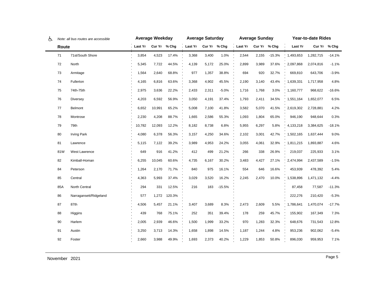| ල |       | Note: all bus routes are accessible | Average Weekday |              |        | <b>Average Saturday</b> |       |          | <b>Average Sunday</b> |              |          | Year-to-date Rides |           |              |
|---|-------|-------------------------------------|-----------------|--------------|--------|-------------------------|-------|----------|-----------------------|--------------|----------|--------------------|-----------|--------------|
|   | Route |                                     | Last Yr         | Cur Yr % Chg |        | Last Yr Cur Yr % Chg    |       |          | Last Yr               | Cur Yr % Chg |          | Last Yr            |           | Cur Yr % Chg |
|   | 71    | 71st/South Shore                    | 3,854           | 4,523        | 17.4%  | 3,368                   | 3,400 | 1.0%     | 2,544                 | 2,155        | $-15.3%$ | 1,493,653          | 1,282,715 | $-14.1%$     |
|   | 72    | North                               | 5,345           | 7,722        | 44.5%  | 4,139                   | 5,172 | 25.0%    | 2,899                 | 3,989        | 37.6%    | 2,097,868          | 2,074,816 | $-1.1%$      |
|   | 73    | Armitage                            | 1,564           | 2,640        | 68.8%  | 977                     | 1,357 | 38.8%    | 694                   | 920          | 32.7%    | 669,810            | 643,706   | $-3.9%$      |
|   | 74    | Fullerton                           | 4,165           | 6,816        | 63.6%  | 3,368                   | 4,902 | 45.5%    | 2,190                 | 3,140        | 43.4%    | 1,639,331          | 1,717,958 | 4.8%         |
|   | 75    | 74th-75th                           | 2,975           | 3,636        | 22.2%  | 2,433                   | 2,311 | $-5.0%$  | 1,716                 | 1,768        | 3.0%     | 1,160,777          | 968,622   | $-16.6%$     |
|   | 76    | <b>Diversey</b>                     | 4,203           | 6,592        | 56.9%  | 3,050                   | 4,191 | 37.4%    | 1,793                 | 2,411        | 34.5%    | 1,551,164          | 1,652,077 | 6.5%         |
|   | 77    | Belmont                             | 6,652           | 10,991       | 65.2%  | 5,008                   | 7,100 | 41.8%    | 3,582                 | 5,070        | 41.5%    | 2,619,302          | 2,728,881 | 4.2%         |
|   | 78    | Montrose                            | 2,230           | 4,208        | 88.7%  | 1,665                   | 2,586 | 55.3%    | 1,093                 | 1,804        | 65.0%    | 946,190            | 948,644   | 0.3%         |
|   | 79    | 79th                                | 10,782          | 12,093       | 12.2%  | 8,182                   | 8,738 | 6.8%     | 5,955                 | 6,297        | 5.8%     | 4,133,218          | 3,384,625 | $-18.1%$     |
|   | 80    | <b>Irving Park</b>                  | 4,080           | 6,378        | 56.3%  | 3,157                   | 4,250 | 34.6%    | 2,102                 | 3,001        | 42.7%    | 1,502,165          | 1,637,444 | 9.0%         |
|   | 81    | Lawrence                            | 5,115           | 7,122        | 39.2%  | 3,989                   | 4,953 | 24.2%    | 3,055                 | 4,061        | 32.9%    | 1,811,215          | 1,893,887 | 4.6%         |
|   | 81W   | West Lawrence                       | 649             | 916          | 41.2%  | 412                     | 499   | 21.2%    | 266                   | 338          | 26.9%    | 219,037            | 225,933   | 3.1%         |
|   | 82    | Kimball-Homan                       | 6,255           | 10,045       | 60.6%  | 4,735                   | 6,167 | 30.2%    | 3,483                 | 4,427        | 27.1%    | 2,474,994          | 2,437,589 | -1.5%        |
|   | 84    | Peterson                            | 1,264           | 2,170        | 71.7%  | 840                     | 975   | 16.1%    | 554                   | 646          | 16.6%    | 453,939            | 478,392   | 5.4%         |
|   | 85    | Central                             | 4,363           | 5,993        | 37.4%  | 3,029                   | 3,520 | 16.2%    | 2,245                 | 2,470        | 10.0%    | 1,538,896          | 1,471,132 | $-4.4%$      |
|   | 85A   | North Central                       | 294             | 331          | 12.5%  | 216                     | 183   | $-15.5%$ |                       |              |          | 87,458             | 77,587    | $-11.3%$     |
|   | 86    | Narragansett/Ridgeland              | 577             | 1,272        | 120.3% |                         |       |          |                       |              |          | 222,276            | 210,420   | $-5.3%$      |
|   | 87    | 87th                                | 4,506           | 5,457        | 21.1%  | 3,407                   | 3,689 | 8.3%     | 2,473                 | 2,609        | 5.5%     | 1,786,641          | 1,470,074 | $-17.7%$     |
|   | 88    | Higgins                             | 439             | 768          | 75.1%  | 252                     | 351   | 39.4%    | 178                   | 259          | 45.7%    | 155,902            | 167,349   | 7.3%         |
|   | 90    | Harlem                              | 2,005           | 2,939        | 46.6%  | 1,500                   | 1,999 | 33.2%    | 970                   | 1,283        | 32.3%    | 648,676            | 731,543   | 12.8%        |
|   | 91    | Austin                              | 3,250           | 3,713        | 14.3%  | 1,658                   | 1,898 | 14.5%    | 1,187                 | 1,244        | 4.8%     | 953,236            | 902,062   | $-5.4\%$     |
|   | 92    | Foster                              | 2,660           | 3,988        | 49.9%  | 1,693                   | 2,373 | 40.2%    | 1,229                 | 1,853        | 50.8%    | 896,030            | 959,953   | 7.1%         |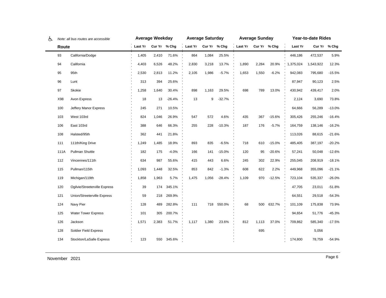| ሌ | Note: all bus routes are accessible |                               |                | <b>Average Weekday</b> |            | <b>Average Saturday</b> |       |          |                      | <b>Average Sunday</b> |          | Year-to-date Rides |           |              |
|---|-------------------------------------|-------------------------------|----------------|------------------------|------------|-------------------------|-------|----------|----------------------|-----------------------|----------|--------------------|-----------|--------------|
|   | Route                               |                               | <b>Last Yr</b> | Cur Yr % Chg           |            | Last Yr Cur Yr % Chg    |       |          | Last Yr Cur Yr % Chg |                       |          | Last Yr            |           | Cur Yr % Chg |
|   | 93                                  | California/Dodge              | 1,405          | 2,410                  | 71.6%      | 864                     | 1,084 | 25.5%    |                      |                       |          | 446,186            | 472,537   | 5.9%         |
|   | 94                                  | California                    | 4,403          | 6,526                  | 48.2%      | 2,830                   | 3,218 | 13.7%    | 1,890                | 2,284                 | 20.9%    | 1,375,024          | 1,543,922 | 12.3%        |
|   | 95                                  | 95th                          | 2,530          | 2,813                  | 11.2%      | 2,105                   | 1,986 | $-5.7%$  | 1,653                | 1,550                 | $-6.2%$  | 942,083            | 795,680   | $-15.5%$     |
|   | 96                                  | Lunt                          | 313            | 394                    | 25.6%      |                         |       |          |                      |                       |          | 87,947             | 90,123    | 2.5%         |
|   | 97                                  | Skokie                        | 1,258          | 1,640                  | 30.4%      | 898                     | 1,163 | 29.5%    | 698                  | 789                   | 13.0%    | 430,942            | 439,417   | 2.0%         |
|   | X98                                 | Avon Express                  | 18             | 13                     | $-26.4%$   | 13                      | 9     | $-32.7%$ |                      |                       |          | 2,124              | 3,690     | 73.8%        |
|   | 100                                 | Jeffery Manor Express         | 245            | 271                    | 10.5%      |                         |       |          |                      |                       |          | 64,666             | 56,289    | $-13.0%$     |
|   | 103                                 | West 103rd                    | 824            | 1,046                  | 26.9%      | 547                     | 572   | 4.6%     | 435                  | 367                   | $-15.6%$ | 305,426            | 255,246   | $-16.4%$     |
|   | 106                                 | East 103rd                    | 388            | 646                    | 66.3%      | 255                     | 228   | $-10.3%$ | 187                  | 176                   | $-5.7%$  | 164,759            | 138,146   | $-16.2%$     |
|   | 108                                 | Halsted/95th                  | 362            | 441                    | 21.8%      |                         |       |          |                      |                       |          | 113,026            | 88,615    | $-21.6%$     |
|   | 111                                 | 111th/King Drive              | 1,249          | 1,485                  | 18.9%      | 893                     | 835   | $-6.5%$  | 718                  | 610                   | $-15.0%$ | 485,405            | 387,197   | $-20.2%$     |
|   | 111A                                | Pullman Shuttle               | 182            | 175                    | $-4.0%$    | 166                     | 141   | $-15.0%$ | 120                  | 95                    | $-20.6%$ | 57,241             | 50,048    | $-12.6%$     |
|   | 112                                 | Vincennes/111th               | 634            | 987                    | 55.6%      | 415                     | 443   | 6.6%     | 245                  | 302                   | 22.9%    | 255,045            | 208,919   | $-18.1%$     |
|   | 115                                 | Pullman/115th                 | 1,093          | 1,448                  | 32.5%      | 853                     | 842   | $-1.3%$  | 608                  | 622                   | 2.2%     | 449,968            | 355,096   | $-21.1%$     |
|   | 119                                 | Michigan/119th                | 1,858          | 1,963                  | 5.7%       | 1,475                   | 1,056 | $-28.4%$ | 1,109                | 970                   | $-12.5%$ | 723,104            | 535,337   | $-26.0%$     |
|   | 120                                 | Ogilvie/Streeterville Express | 39             | 174                    | 345.1%     |                         |       |          |                      |                       |          | 47,705             | 23,011    | $-51.8%$     |
|   | 121                                 | Union/Streeterville Express   | 59             | 218                    | 269.9%     |                         |       |          |                      |                       |          | 64,551             | 29,518    | $-54.3%$     |
|   | 124                                 | Navy Pier                     | 128            | 489                    | 282.8%     | 111                     | 718   | 550.0%   | 68                   | 500                   | 632.7%   | 101,109            | 175,838   | 73.9%        |
|   | 125                                 | <b>Water Tower Express</b>    | 101            | 305                    | 200.7%     |                         |       |          |                      |                       |          | 94,654             | 51,776    | $-45.3%$     |
|   | 126                                 | Jackson                       | 1,571          | 2,383                  | 51.7%      | 1,117                   | 1,380 | 23.6%    | 812                  | 1,113                 | 37.0%    | 709,862            | 585,340   | $-17.5%$     |
|   | 128                                 | Soldier Field Express         |                |                        |            |                         |       |          |                      | 695                   |          |                    | 5,056     |              |
|   | 134                                 | Stockton/LaSalle Express      | 123            |                        | 550 345.6% |                         |       |          |                      |                       |          | 174,800            | 78,759    | $-54.9%$     |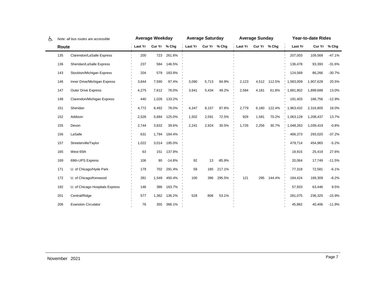| ලැ | Note: all bus routes are accessible |                                 | <b>Average Weekday</b> |       |              | <b>Average Saturday</b> |              |          |                | <b>Average Sunday</b> |        | <b>Year-to-date Rides</b> |           |              |  |
|----|-------------------------------------|---------------------------------|------------------------|-------|--------------|-------------------------|--------------|----------|----------------|-----------------------|--------|---------------------------|-----------|--------------|--|
|    | Route                               |                                 | Last Yr                |       | Cur Yr % Chg | Last Yr                 | Cur Yr % Chq |          | <b>Last Yr</b> | Cur Yr % Chg          |        | Last Yr                   |           | Cur Yr % Chg |  |
|    | 135                                 | Clarendon/LaSalle Express       | 200                    | 723   | 261.6%       |                         |              |          |                |                       |        | 207,003                   | 109,568   | $-47.1%$     |  |
|    | 136                                 | Sheridan/LaSalle Express        | 237                    | 584   | 146.5%       |                         |              |          |                |                       |        | 136,478                   | 93,393    | $-31.6%$     |  |
|    | 143                                 | Stockton/Michigan Express       | 204                    | 579   | 183.9%       |                         |              |          |                |                       |        | 124,569                   | 86,266    | $-30.7%$     |  |
|    | 146                                 | Inner Drive/Michigan Express    | 3,844                  | 7,590 | 97.4%        | 3,090                   | 5,713        | 84.9%    | 2,123          | 4,512                 | 112.5% | 1,583,009                 | 1,907,628 | 20.5%        |  |
|    | 147                                 | <b>Outer Drive Express</b>      | 4,275                  | 7,612 | 78.0%        | 3,641                   | 5,434        | 49.2%    | 2,584          | 4,181                 | 61.8%  | 1,681,802                 | 1,899,688 | 13.0%        |  |
|    | 148                                 | Clarendon/Michigan Express      | 440                    | 1,026 | 133.2%       |                         |              |          |                |                       |        | 191,403                   | 166,756   | $-12.9%$     |  |
|    | 151                                 | Sheridan                        | 4,772                  | 8,492 | 78.0%        | 4,347                   | 8,157        | 87.6%    | 2,779          | 6,180                 | 122.4% | 1,963,432                 | 2,316,805 | 18.0%        |  |
|    | 152                                 | Addison                         | 2,526                  | 5,684 | 125.0%       | 1,502                   | 2,591        | 72.5%    | 929            | 1,581                 | 70.2%  | 1,063,128                 | 1,208,437 | 13.7%        |  |
|    | 155                                 | Devon                           | 2,744                  | 3,832 | 39.6%        | 2,241                   | 2,924        | 30.5%    | 1,726          | 2,256                 | 30.7%  | 1,048,263                 | 1,039,419 | $-0.8%$      |  |
|    | 156                                 | LaSalle                         | 631                    | 1,794 | 184.4%       |                         |              |          |                |                       |        | 466,373                   | 293,020   | $-37.2%$     |  |
|    | 157                                 | Streeterville/Taylor            | 1,022                  | 3,014 | 195.0%       |                         |              |          |                |                       |        | 479,714                   | 454,965   | $-5.2%$      |  |
|    | 165                                 | West 65th                       | 63                     | 151   | 137.9%       |                         |              |          |                |                       |        | 19,915                    | 25,419    | 27.6%        |  |
|    | 169                                 | 69th-UPS Express                | 106                    | 90    | $-14.8%$     | 92                      | 13           | $-85.9%$ |                |                       |        | 20,064                    | 17,749    | $-11.5%$     |  |
|    | 171                                 | U. of Chicago/Hyde Park         | 179                    | 702   | 291.4%       | 58                      | 185          | 217.1%   |                |                       |        | 77,318                    | 72,581    | $-6.1%$      |  |
|    | 172                                 | U. of Chicago/Kenwood           | 281                    | 1,549 | 450.4%       | 100                     | 396          | 295.5%   | 121            | 295                   | 144.4% | 184,424                   | 169,309   | $-8.2%$      |  |
|    | 192                                 | U. of Chicago Hospitals Express | 146                    | 386   | 163.7%       |                         |              |          |                |                       |        | 57,933                    | 63,446    | 9.5%         |  |
|    | 201                                 | Central/Ridge                   | 577                    | 1,362 | 136.2%       | 528                     | 808          | 53.1%    |                |                       |        | 281,075                   | 236,325   | $-15.9%$     |  |
|    | 206                                 | <b>Evanston Circulator</b>      | 76                     | 355   | 366.1%       |                         |              |          |                |                       |        | 45,882                    | 40,406    | $-11.9%$     |  |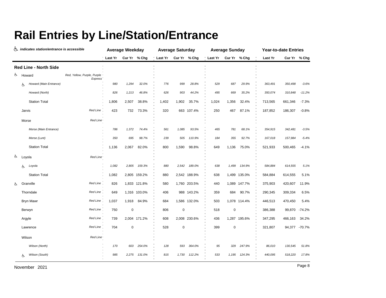### **Rail Entries by Line/Station/Entrance**

|    |    | indicates station/entrance is accessible |                                               |         | <b>Average Weekday</b> |              |          | <b>Average Saturday</b> |              |         | <b>Average Sunday</b> |              |         | <b>Year-to-date Entries</b> |               |
|----|----|------------------------------------------|-----------------------------------------------|---------|------------------------|--------------|----------|-------------------------|--------------|---------|-----------------------|--------------|---------|-----------------------------|---------------|
|    |    |                                          |                                               | Last Yr |                        | Cur Yr % Chg | 'Last Yr |                         | Cur Yr % Chg | Last Yr | Cur Yr % Chg          |              | Last Yr |                             | Cur Yr % Chg  |
|    |    | <b>Red Line - North Side</b>             |                                               |         |                        |              |          |                         |              |         |                       |              |         |                             |               |
| රු |    | Howard                                   | Red, Yellow, Purple, Purple<br><b>Express</b> |         |                        |              |          |                         |              |         |                       |              |         |                             |               |
|    | Ġ. | Howard (Main Entrance)                   |                                               | 980     | 1,294                  | 32.0%        | 776      | 999                     | 28.8%        | 529     | 687                   | 29.9%        | 363,491 | 350,498                     | $-3.6%$       |
|    |    | Howard (North)                           |                                               | 826     | 1,213                  | 46.8%        | 626      | 903                     | 44.2%        | 495     | 669                   | 35.2%        | 350,074 | 310,848                     | $-11.2%$      |
|    |    | <b>Station Total</b>                     |                                               | 1,806   | 2,507                  | 38.8%        | 1,402    | 1,902                   | 35.7%        | 1,024   | 1,356                 | 32.4%        | 713,565 | 661,346                     | $-7.3%$       |
|    |    | Jarvis                                   | <b>Red Line</b>                               | 423     | 732                    | 73.3%        | 320      |                         | 663 107.4%   | 250     | 467                   | 87.1%        | 187,852 | 186,307                     | $-0.8%$       |
|    |    | Morse                                    | Red Line <sup>®</sup>                         |         |                        |              |          |                         |              |         |                       |              |         |                             |               |
|    |    | Morse (Main Entrance)                    |                                               | 786     | 1,372                  | 74.4%        | 561      | 1,085                   | 93.5%        | 465     | 781                   | 68.1%        | 354,915 | 342,481                     | $-3.5%$       |
|    |    | Morse (Lunt)                             |                                               | 350     | 695                    | 98.7%        | 239      | 505                     | 110.9%       | 184     | 355                   | 92.7%        | 167,018 | 157,984                     | $-5.4%$       |
|    |    | <b>Station Total</b>                     |                                               | 1,136   | 2,067                  | 82.0%        | 800      | 1,590                   | 98.8%        | 649     | 1,136                 | 75.0%        | 521,933 | 500,465                     | $-4.1%$       |
| Ġ. |    | Loyola                                   | Red Line <sup>®</sup>                         |         |                        |              |          |                         |              |         |                       |              |         |                             |               |
|    | Ġ. | Loyola                                   |                                               | 1,082   | 2,805                  | 159.3%       | 880      | 2,542                   | 189.0%       | 638     | 1,499                 | 134.9%       | 584,884 | 614,555                     | 5.1%          |
|    |    | <b>Station Total</b>                     |                                               | 1,082   |                        | 2,805 159.2% | 880      |                         | 2,542 188.9% | 638     |                       | 1,499 135.0% | 584,884 | 614,555                     | 5.1%          |
| Ġ. |    | Granville                                | Red Line                                      | 826     |                        | 1,833 121.8% | 580      |                         | 1,760 203.5% | 440     |                       | 1,089 147.7% | 375,903 | 420,607                     | 11.9%         |
|    |    | Thorndale                                | Red Line                                      | 649     |                        | 1,316 103.0% | 406      |                         | 988 143.2%   | 359     | 684                   | 90.7%        | 290,345 | 309,334                     | 6.5%          |
|    |    | <b>Bryn Mawr</b>                         | Red Line                                      | 1,037   | 1,918                  | 84.9%        | 684      |                         | 1,586 132.0% | 503     |                       | 1,078 114.4% | 446,513 | 470,450                     | 5.4%          |
|    |    | Berwyn                                   | Red Line                                      | 750     | $\mathbf 0$            |              | 806      | $\pmb{0}$               |              | 518     | $\pmb{0}$             |              | 386,388 | 99,870                      | $-74.2%$      |
|    |    | Argyle                                   | <b>Red Line</b>                               | 739     |                        | 2,004 171.2% | 608      |                         | 2,008 230.6% | 436     |                       | 1,287 195.6% | 347,295 | 466,163                     | 34.2%         |
|    |    | Lawrence                                 | <b>Red Line</b>                               | 704     | $\mathbf 0$            |              | 528      | $\mathbf 0$             |              | 399     | 0                     |              | 321,807 |                             | 94,377 -70.7% |
|    |    | Wilson                                   | Red Line <sup>®</sup>                         |         |                        |              |          |                         |              |         |                       |              |         |                             |               |
|    |    | Wilson (North)                           |                                               | 170     | 603                    | 254.0%       | 128      | 593                     | 364.0%       | 95      | 329                   | 247.9%       | 86,010  | 130,545                     | 51.8%         |
|    | Ġ. | Wilson (South)                           |                                               | 985     | 2,275                  | 131.0%       | 815      | 1,730                   | 112.2%       | 533     | 1,195                 | 124.3%       | 440,095 | 518,220                     | 17.8%         |
|    |    |                                          |                                               |         |                        |              |          |                         |              |         |                       |              |         |                             |               |

Page 8 November 2021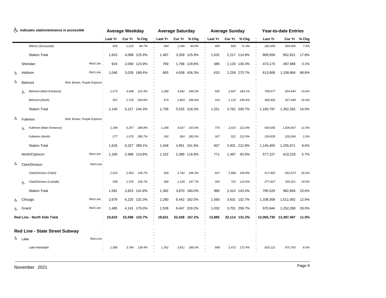| ሌ  |      | indicates station/entrance is accessible |                            |         | <b>Average Weekday</b> |               |         | <b>Average Saturday</b> |               |                | <b>Average Sunday</b> |               |            | <b>Year-to-date Entries</b> |       |
|----|------|------------------------------------------|----------------------------|---------|------------------------|---------------|---------|-------------------------|---------------|----------------|-----------------------|---------------|------------|-----------------------------|-------|
|    |      |                                          |                            | Last Yr |                        | Cur Yr % Chg  | Last Yr | Cur Yr                  | % Chg         | <b>Last Yr</b> |                       | Cur Yr % Chg  | Last Yr    | Cur Yr                      | % Chg |
|    |      | Wilson (Sunnyside)                       |                            | 655     | 1,210                  | 84.7%         | 544     | 1,036                   | 90.6%         | 404            | 693                   | 71.4%         | 282,954    | 304,056                     | 7.5%  |
|    |      | <b>Station Total</b>                     |                            | 1,810   | 4,088                  | 125.9%        | 1,487   |                         | 3,359 125.9%  | 1,032          |                       | 2,217 114.8%  | 809,059    | 952,821                     | 17.8% |
|    |      | Sheridan                                 | Red Line                   | 924     | 2,069                  | 123.9%        | 769     |                         | 1,768 129.8%  | 486            |                       | 1,120 130.3%  | 473,173    | 487,686                     | 3.1%  |
|    |      | Addison                                  | Red Line                   | 1,046   |                        | 3,028 189.4%  | 865     |                         | 4,638 436.3%  | 610            |                       | 2,259 270.7%  | 613,808    | 1,158,866                   | 88.8% |
| ය  |      | Belmont                                  | Red, Brown, Purple Express |         |                        |               |         |                         |               |                |                       |               |            |                             |       |
|    | Ġ.   | <b>Belmont (Main Entrance)</b>           |                            | 1,573   | 3,498                  | 122.4%        | 1,266   | 3,662                   | 189.2%        | 932            | 2,647                 | 184.1%        | 799,977    | 924,644                     | 15.6% |
|    |      | <b>Belmont (North)</b>                   |                            | 567     | 1,729                  | 204.8%        | 470     | 1,863                   | 296.6%        | 319            | 1,115                 | 249.4%        | 365,820    | 427,648                     | 16.9% |
|    |      | <b>Station Total</b>                     |                            | 2,140   |                        | 5,227 144.3%  | 1,736   |                         | 5,525 218.3%  | 1,251          |                       | 3,762 200.7%  | 1,165,797  | 1,352,292                   | 16.0% |
| Ġ. |      | Fullerton                                | Red, Brown, Purple Express |         |                        |               |         |                         |               |                |                       |               |            |                             |       |
|    | Ġ.   | Fullerton (Main Entrance)                |                            | 1,349   | 5,257                  | 289.8%        | 1,206   | 4,027                   | 233.9%        | 770            | 2,410                 | 212.8%        | 920,565    | 1,026,607                   | 11.5% |
|    |      | Fullerton (North)                        |                            | 277     | 1,070                  | 285.7%        | 242     | 924                     | 282.5%        | 167            | 521                   | 212.9%        | 224,835    | 229,264                     | 2.0%  |
|    |      | <b>Station Total</b>                     |                            | 1,626   |                        | 6,327 289.1%  | 1,448   |                         | 4,951 241.9%  | 937            |                       | 2,931 212.8%  | 1,145,400  | 1,255,871                   | 9.6%  |
|    |      | North/Clybourn                           | Red Line                   | 1.180   |                        | 2,488 110.8%  | 1,102   |                         | 2,389 116.8%  | 771            | 1.487                 | 93.0%         | 577,227    | 610,233                     | 5.7%  |
| ৬  |      | Clark/Division                           | Red Line*                  |         |                        |               |         |                         |               |                |                       |               |            |                             |       |
|    |      | Clark/Division (Clark)                   |                            | 1,023   | 2,453                  | 139.7%        | 926     | 2,742                   | 196.3%        | 647            | 1,688                 | 160.8%        | 517,902    | 652,573                     | 26.0% |
|    | 占    | Clark/Division (LaSalle)                 |                            | 558     | 1,370                  | 145.7%        | 456     | 1,128                   | 147.7%        | 343            | 722                   | 110.5%        | 277,627    | 330,321                     | 19.0% |
|    |      | <b>Station Total</b>                     |                            | 1,581   | 3,823                  | 141.8%        | 1,382   |                         | 3,870 180.0%  | 990            |                       | 2,410 143.4%  | 795,529    | 982,894                     | 23.6% |
|    |      | Chicago                                  | Red Line                   | 2,679   |                        | 6,225 132.3%  | 2,280   |                         | 6,442 182.5%  | 1,560          |                       | 3,631 132.7%  | 1,338,308  | 1,511,062                   | 12.9% |
|    |      | Grand                                    | Red Line                   | 1,485   |                        | 4,141 179.0%  | 1,538   |                         | 6,447 319.2%  | 1,032          |                       | 3,701 258.7%  | 970,944    | 1,252,288                   | 29.0% |
|    |      | Red Line - North Side Total              |                            | 23,623  |                        | 52,598 122.7% | 19,621  |                         | 52,428 167.2% | 13,885         |                       | 32,114 131.3% | 12,065,730 | 13,387,487                  | 11.0% |
|    |      | Red Line - State Street Subway           |                            |         |                        |               |         |                         |               |                |                       |               |            |                             |       |
| රූ | Lake |                                          | Red Line                   |         |                        |               |         |                         |               |                |                       |               |            |                             |       |
|    |      | Lake-Randolph                            |                            | 1,585   | 3.794                  | 139.4%        | 1,351   | 3,911                   | 189.5%        | 908            | 2.472                 | 172.4%        | 920,121    | 975,763                     | 6.0%  |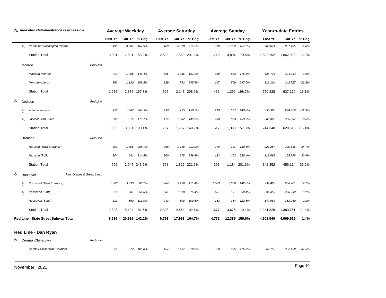|    |    | & indicates station/entrance is accessible |         | <b>Average Weekday</b> |               |         | <b>Average Saturday</b> |               |                | <b>Average Sunday</b> |               |           | <b>Year-to-date Entries</b> |          |
|----|----|--------------------------------------------|---------|------------------------|---------------|---------|-------------------------|---------------|----------------|-----------------------|---------------|-----------|-----------------------------|----------|
|    |    |                                            | Last Yr |                        | Cur Yr % Chg  | Last Yr | Cur Yr                  | % Chg         | <b>Last Yr</b> | Cur Yr % Chg          |               | Last Yr   | Cur Yr                      | % Chg    |
|    | Ġ. | Randolph-Washington (North)                | 1,496   | 4,007                  | 167.9%        | 1,169   | 3,678                   | 214.5%        | 810            | 2,332                 | 187.7%        | 903,071   | 887,165                     | $-1.8%$  |
|    |    | <b>Station Total</b>                       | 3,081   |                        | 7,801 153.2%  | 2,520   |                         | 7,589 201.2%  | 1,718          |                       | 4,804 179.6%  | 1,823,192 | 1,862,928                   | 2.2%     |
|    |    | Red Line<br>Monroe                         |         |                        |               |         |                         |               |                |                       |               |           |                             |          |
|    |    | Madison-Monroe                             | 713     | 1,756                  | 146.4%        | 466     | 1,355                   | 191.0%        | 319            | 883                   | 176.4%        | 434,724   | 394,383                     | $-9.3%$  |
|    |    | Monroe-Adams                               | 363     | 1,120                  | 208.5%        | 229     | 792                     | 245.6%        | 147            | 509                   | 247.0%        | 316,104   | 242,727                     | $-23.2%$ |
|    |    | <b>Station Total</b>                       | 1,076   |                        | 2,876 167.3%  | 695     |                         | 2,147 208.9%  | 466            |                       | 1,392 198.7%  | 750,828   | 637,110 -15.1%              |          |
| ය  |    | Red Line<br>Jackson                        |         |                        |               |         |                         |               |                |                       |               |           |                             |          |
|    | රා | Adams-Jackson                              | 456     | 1,387                  | 204.3%        | 293     | 735                     | 150.5%        | 219            | 527                   | 140.8%        | 355,920   | 274,306                     | $-22.9%$ |
|    | Ġ. | Jackson-Van Buren                          | 599     | 1,674                  | 179.7%        | 414     | 1,032                   | 149.3%        | 298            | 803                   | 169.9%        | 388,420   | 355,307                     | $-8.5%$  |
|    |    | <b>Station Total</b>                       | 1,055   |                        | 3,061 190.1%  | 707     |                         | 1,767 149.9%  | 517            |                       | 1,330 157.3%  | 744,340   | 629,613 -15.4%              |          |
|    |    | Red Line<br>Harrison                       |         |                        |               |         |                         |               |                |                       |               |           |                             |          |
|    |    | Harrison (Main Entrance)                   | 392     | 1,406                  | 258.7%        | 368     | 1,148                   | 212.2%        | 270            | 781                   | 189.5%        | 223,257   | 300,816                     | 34.7%    |
|    |    | Harrison (Polk)                            | 204     | 641                    | 214.8%        | 200     | 678                     | 239.8%        | 123            | 403                   | 228.4%        | 119,095   | 155,298                     | 30.4%    |
|    |    | <b>Station Total</b>                       | 596     |                        | 2,047 243.5%  | 568     |                         | 1,826 221.5%  | 393            |                       | 1,184 201.3%  | 342,352   | 456,114                     | 33.2%    |
| க் |    | Red, Orange & Green Lines<br>Roosevelt     |         |                        |               |         |                         |               |                |                       |               |           |                             |          |
|    | රා | Roosevelt (Main Entrance)                  | 1,803   | 3,393                  | 88.2%         | 1,484   | 3,138                   | 111.4%        | 1,083          | 2,620                 | 142.0%        | 799,485   | 936,401                     | 17.1%    |
|    | Ġ. | Roosevelt (State)                          | 714     | 1,081                  | 51.5%         | 581     | 1,018                   | 75.4%         | 431            | 691                   | 60.4%         | 294,359   | 296,290                     | 0.7%     |
|    |    | Roosevelt (South)                          | 311     | 660                    | 111.9%        | 243     | 508                     | 109.5%        | 163            | 364                   | 122.6%        | 147,984   | 151,060                     | 2.1%     |
|    |    | <b>Station Total</b>                       | 2,828   | 5,134                  | 81.5%         | 2,308   |                         | 4,664 102.1%  | 1,677          |                       | 3,675 119.1%  | 1,241,828 | 1,383,751                   | 11.4%    |
|    |    | Red Line - State Street Subway Total       | 8,636   |                        | 20,919 142.2% | 6,798   |                         | 17,993 164.7% | 4,771          |                       | 12,385 159.6% | 4,902,540 | 4,969,516                   | 1.4%     |
|    |    | Red Line - Dan Ryan                        |         |                        |               |         |                         |               |                |                       |               |           |                             |          |
| க  |    | Cermak-Chinatown<br>Red Line               |         |                        |               |         |                         |               |                |                       |               |           |                             |          |
|    |    | Cermak-Chinatown (Cermak)                  | 521     | 1,072                  | 105.8%        | 457     | 1,417                   | 210.3%        | 328            | 905                   | 175.9%        | 252,759   | 332,468                     | 31.5%    |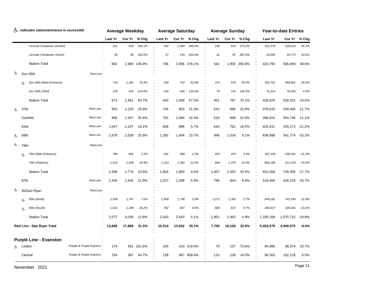|    |        | indicates station/entrance is accessible |                         |         | <b>Average Weekday</b> |              |         | <b>Average Saturday</b> |              |                | <b>Average Sunday</b> |              |           | <b>Year-to-date Entries</b> |          |
|----|--------|------------------------------------------|-------------------------|---------|------------------------|--------------|---------|-------------------------|--------------|----------------|-----------------------|--------------|-----------|-----------------------------|----------|
|    |        |                                          |                         | Last Yr | Cur Yr                 | % Chg        | Last Yr | Cur Yr                  | % Chg        | <b>Last Yr</b> | Cur Yr % Chg          |              | Last Yr   | Cur Yr                      | % Chg    |
|    |        | Cermak-Chinatown (Archer)                |                         | 251     | 819                    | 226.1%       | 302     | 1,404                   | 365.4%       | 192            | 910                   | 373.3%       | 152,378   | 236,619                     | 55.3%    |
|    |        | Cermak-Chinatown (South)                 |                         | 30      | 89                     | 192.6%       | 27      | 135                     | 402.8%       | 22             | 87                    | 287.8%       | 18,656    | 26,772                      | 43.5%    |
|    |        | <b>Station Total</b>                     |                         | 802     |                        | 1,980 146.9% | 786     |                         | 2,956 276.1% | 542            |                       | 1,902 250.9% | 423,793   | 595,859                     | 40.6%    |
| රූ |        | Sox-35th                                 | Red Line                |         |                        |              |         |                         |              |                |                       |              |           |                             |          |
|    | 占      | Sox-35th (Main Entrance)                 |                         | 743     | 1,281                  | 72.4%        | 534     | 762                     | 42.8%        | 372            | 576                   | 55.0%        | 350,701   | 449,801                     | 28.3%    |
|    |        | Sox-35th (33rd)                          |                         | 130     | 410                    | 214.0%       | 106     | 246                     | 133.4%       | 79             | 191                   | 142.5%       | 75,323    | 78,530                      | 4.3%     |
|    |        | <b>Station Total</b>                     |                         | 873     | 1,691                  | 93.7%        | 640     | 1,008                   | 57.5%        | 451            | 767                   | 70.1%        | 426,024   | 528,331                     | 24.0%    |
| රු | 47th   |                                          | Red Line                | 953     | 1,229                  | 28.9%        | 745     | 903                     | 21.3%        | 542            | 666                   | 22.8%        | 378,633   | 334,499                     | $-11.7%$ |
|    |        | Garfield                                 | Red Line                | 993     | 1,347                  | 35.6%        | 762     | 1,084                   | 42.4%        | 529            | 698                   | 32.0%        | 398,910   | 354,748 -11.1%              |          |
|    | 63rd   |                                          | Red Line                | 1,047   | 1,247                  | 19.1%        | 838     | 886                     | 5.7%         | 642            | 761                   | 18.5%        | 425,341   | 335,173                     | $-21.2%$ |
| Ġ. | 69th   |                                          | Red Line                | 1,678   | 2,028                  | 20.9%        | 1,292   | 1,494                   | 15.7%        | 948            | 1,034                 | 9.1%         | 638,998   | 541,774 -15.2%              |          |
| Ġ. | 79th   |                                          | Red Line                |         |                        |              |         |                         |              |                |                       |              |           |                             |          |
|    | Ġ.     | 79th (Main Entrance)                     |                         | 784     | 842                    | 7.4%         | 591     | 598                     | 1.2%         | 463            | 474                   | 2.4%         | 301,108   | 236,931                     | $-21.3%$ |
|    |        | 79th (Platform)                          |                         | 1,614   | 1,928                  | 19.4%        | 1,213   | 1,362                   | 12.2%        | 944            | 1,079                 | 14.3%        | 609,198   | 512,419                     | $-15.9%$ |
|    |        | <b>Station Total</b>                     |                         | 2,398   | 2,770                  | 15.5%        | 1,804   | 1,960                   | 8.6%         | 1,407          | 1,553                 | 10.4%        | 910,306   | 749,350 -17.7%              |          |
|    | 87th   |                                          | Red Line                | 1,345   | 1,640                  | 21.9%        | 1,027   | 1,098                   | 6.9%         | 788            | 843                   | 6.9%         | 516,466   | 430,126 -16.7%              |          |
| ৬  |        | 95/Dan Ryan                              | Red Line                |         |                        |              |         |                         |              |                |                       |              |           |                             |          |
|    | Ġ.     | 95th (North)                             |                         | 2,556   | 2,747                  | 7.5%         | 1,658   | 1,706                   | 2.9%         | 1,271          | 1,305                 | 2.7%         | 949,181   | 742,534                     | $-21.8%$ |
|    | Ġ.     | 95th (South)                             |                         | 1,021   | 1,289                  | 26.2%        | 762     | 837                     | 9.8%         | 580            | 637                   | 9.7%         | 385,927   | 328,181                     | $-15.0%$ |
|    |        | <b>Station Total</b>                     |                         | 3,577   | 4,036                  | 12.8%        | 2,420   | 2,543                   | 5.1%         | 1,851          | 1,942                 | 4.9%         | 1,335,108 | 1,070,715                   | $-19.8%$ |
|    |        | Red Line - Dan Ryan Total                |                         | 13,666  | 17,968                 | 31.5%        | 10,314  | 13,932                  | 35.1%        | 7,700          | 10,166                | 32.0%        | 5,453,579 | 4,940,575                   | $-9.4%$  |
|    |        |                                          |                         |         |                        |              |         |                         |              |                |                       |              |           |                             |          |
|    |        | <b>Purple Line - Evanston</b>            | Purple & Purple Express |         |                        |              |         |                         |              |                |                       |              |           |                             |          |
| රා | Linden |                                          |                         | 174     |                        | 351 101.6%   | 100     |                         | 319 219.0%   | 79             | 137                   | 73.6%        | 84,990    | 98,374                      | 15.7%    |
|    |        | Central                                  | Purple & Purple Express | 254     | 367                    | 44.7%        | 128     |                         | 967 658.4%   | 110            | 126                   | 14.0%        | 96,363    | 102,128                     | 6.0%     |

Page 11 November 2021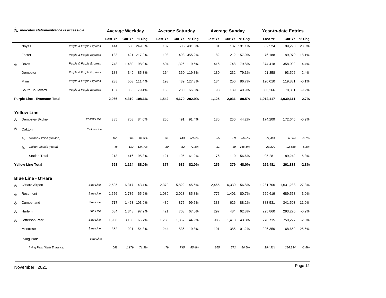|    | the indicates station/entrance is accessible |                         |         | <b>Average Weekday</b> |              |                | <b>Average Saturday</b> |              |          | <b>Average Sunday</b> |              |           | <b>Year-to-date Entries</b> |          |
|----|----------------------------------------------|-------------------------|---------|------------------------|--------------|----------------|-------------------------|--------------|----------|-----------------------|--------------|-----------|-----------------------------|----------|
|    |                                              |                         | Last Yr |                        | Cur Yr % Chg | <b>Last Yr</b> |                         | Cur Yr % Chg | 'Last Yr |                       | Cur Yr % Chg | Last Yr   | Cur Yr                      | $%$ Chg  |
|    | Noyes                                        | Purple & Purple Express | 144     |                        | 503 249.3%   | 107            |                         | 536 401.6%   | 81       |                       | 187 131.1%   | 82,524    | 99,290                      | 20.3%    |
|    | Foster                                       | Purple & Purple Express | 133     |                        | 421 217.2%   | 108            |                         | 493 355.2%   | 82       |                       | 212 157.0%   | 76,188    | 89,979                      | 18.1%    |
| Ġ. | Davis                                        | Purple & Purple Express | 748     | 1,480                  | 98.0%        | 604            |                         | 1,326 119.6% | 416      | 748                   | 79.8%        | 374,418   | 358,002                     | $-4.4%$  |
|    | Dempster                                     | Purple & Purple Express | 188     | 349                    | 85.3%        | 164            |                         | 360 119.3%   | 130      | 232                   | 79.3%        | 91,358    | 93,596                      | 2.4%     |
|    | Main                                         | Purple & Purple Express | 238     | 503                    | 111.4%       | 193            | 439                     | 127.3%       | 134      | 250                   | 86.7%        | 120,010   | 119,881                     | $-0.1%$  |
|    | South Boulevard                              | Purple & Purple Express | 187     | 336                    | 79.4%        | 138            | 230                     | 66.8%        | 93       | 139                   | 49.9%        | 86,266    | 78,361                      | $-9.2%$  |
|    | Purple Line - Evanston Total                 |                         | 2,066   |                        | 4,310 108.6% | 1,542          |                         | 4,670 202.9% | 1,125    | 2,031                 | 80.5%        | 1,012,117 | 1,039,611                   | 2.7%     |
|    | <b>Yellow Line</b>                           |                         |         |                        |              |                |                         |              |          |                       |              |           |                             |          |
| Ġ. | Dempster-Skokie                              | Yellow Line             | 385     | 708                    | 84.0%        | 256            | 491                     | 91.4%        | 180      | 260                   | 44.2%        | 174,200   | 172,646                     | $-0.9%$  |
| Ġ. | Oakton                                       | Yellow Line*            |         |                        |              |                |                         |              |          |                       |              |           |                             |          |
|    | Oakton-Skokie (Oakton)<br>占                  |                         | 165     | 304                    | 84.9%        | 91             | 143                     | 58.3%        | 65       | 89                    | 36.3%        | 71,461    | 66,684                      | $-6.7%$  |
|    | Oakton-Skokie (North)<br>Ġ.                  |                         | 48      | 112                    | 134.7%       | 30             | 52                      | 71.1%        | 11       | 30                    | 166.5%       | 23,820    | 22,558                      | $-5.3%$  |
|    | <b>Station Total</b>                         |                         | 213     | 416                    | 95.3%        | 121            | 195                     | 61.2%        | 76       | 119                   | 56.6%        | 95,281    | 89,242                      | $-6.3%$  |
|    | <b>Yellow Line Total</b>                     |                         | 598     | 1,124                  | 88.0%        | 377            | 686                     | 82.0%        | 256      | 379                   | 48.0%        | 269,481   | 261,888                     | $-2.8%$  |
|    | <b>Blue Line - O'Hare</b>                    |                         |         |                        |              |                |                         |              |          |                       |              |           |                             |          |
| රා | O'Hare Airport                               | <b>Blue Line</b>        | 2,595   |                        | 6,317 143.4% | 2,370          |                         | 5,822 145.6% | 2,465    | 6,330                 | 156.8%       | 1,281,706 | 1,631,288                   | 27.3%    |
| රු | Rosemont                                     | Blue Line               | 1,656   | 2,736                  | 65.2%        | 1,089          | 2,023                   | 85.8%        | 776      | 1,401                 | 80.7%        | 669,619   | 689,563                     | 3.0%     |
| ර් | Cumberland                                   | Blue Line.              | 717     |                        | 1,463 103.9% | 439            | 875                     | 99.5%        | 333      | 626                   | 88.2%        | 383,531   | 341,503                     | $-11.0%$ |
| Ġ. | Harlem                                       | Blue Line               | 684     | 1,348                  | 97.2%        | 421            | 703                     | 67.0%        | 297      | 484                   | 62.8%        | 295,860   | 293,270                     | $-0.9%$  |
| රු | Jefferson Park                               | Blue Line.              | 1,908   | 3,160                  | 65.7%        | 1,288          | 1,867                   | 44.9%        | 986      | 1,413                 | 43.3%        | 778,715   | 759,227                     | $-2.5%$  |
|    | Montrose                                     | Blue Line               | 362     |                        | 921 154.3%   | 244            |                         | 536 119.8%   | 191      |                       | 385 101.2%   | 226,350   | 168,659                     | $-25.5%$ |
|    | <b>Irving Park</b>                           | Blue Line               |         |                        |              |                |                         |              |          |                       |              |           |                             |          |
|    | Irving Park (Main Entrance)                  |                         | 688     | 1,179                  | 71.3%        | 479            | 745                     | 55.4%        | 365      | 572                   | 56.5%        | 294,334   | 286,834                     | $-2.5%$  |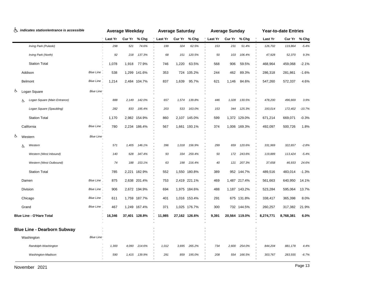| ሌ  |       | indicates station/entrance is accessible |                  |         | <b>Average Weekday</b> |               |         | <b>Average Saturday</b> |               |         | <b>Average Sunday</b> |               |           | <b>Year-to-date Entries</b> |          |
|----|-------|------------------------------------------|------------------|---------|------------------------|---------------|---------|-------------------------|---------------|---------|-----------------------|---------------|-----------|-----------------------------|----------|
|    |       |                                          |                  | Last Yr | Cur Yr                 | % Chg         | Last Yr | Cur Yr                  | % Chg         | Last Yr |                       | Cur Yr % Chg  | Last Yr   | Cur Yr                      | % Chg    |
|    |       | Irving Park (Pulaski)                    |                  | 298     | 521                    | 74.6%         | 199     | 324                     | 62.5%         | 153     | 231                   | 51.4%         | 126,702   | 119,864                     | $-5.4%$  |
|    |       | Irving Park (North)                      |                  | 92      | 218                    | 137.3%        | 68      | 151                     | 120.5%        | 50      | 103                   | 106.4%        | 47,928    | 52,370                      | 9.3%     |
|    |       | <b>Station Total</b>                     |                  | 1,078   | 1,918                  | 77.9%         | 746     | 1,220                   | 63.5%         | 568     | 906                   | 59.5%         | 468,964   | 459,068                     | $-2.1%$  |
|    |       | Addison                                  | <b>Blue Line</b> | 538     |                        | 1,299 141.6%  | 353     |                         | 724 105.2%    | 244     | 462                   | 89.3%         | 286,318   | 281,861                     | $-1.6%$  |
|    |       | <b>Belmont</b>                           | <b>Blue Line</b> | 1,214   |                        | 2,484 104.7%  | 837     | 1,639                   | 95.7%         | 621     | 1,146                 | 84.6%         | 547,260   | 572,337                     | 4.6%     |
| රු |       | Logan Square                             | Blue Line        |         |                        |               |         |                         |               |         |                       |               |           |                             |          |
|    | Ġ.    | Logan Square (Main Entrance)             |                  | 888     | 2,149                  | 142.0%        | 657     | 1,574                   | 139.8%        | 446     | 1,028                 | 130.5%        | 478,200   | 496,669                     | 3.9%     |
|    |       | Logan Square (Spaulding)                 |                  | 282     | 833                    | 195.4%        | 203     | 533                     | 163.0%        | 153     | 344                   | 125.3%        | 193,014   | 172,402                     | $-10.7%$ |
|    |       | <b>Station Total</b>                     |                  | 1,170   |                        | 2,982 154.9%  | 860     |                         | 2,107 145.0%  | 599     |                       | 1,372 129.0%  | 671,214   | 669,071                     | $-0.3%$  |
|    |       | California                               | <b>Blue Line</b> | 780     |                        | 2,234 186.4%  | 567     |                         | 1,661 193.1%  | 374     |                       | 1,006 169.3%  | 492,097   | 500,726                     | 1.8%     |
| රු |       | Western                                  | Blue Line        |         |                        |               |         |                         |               |         |                       |               |           |                             |          |
|    | Ġ.    | Western                                  |                  | 571     | 1,405                  | 146.1%        | 396     | 1,018                   | 156.9%        | 299     | 659                   | 120.6%        | 331,969   | 322,657                     | $-2.8%$  |
|    |       | Western (West Inbound)                   |                  | 140     | 628                    | 347.4%        | 93      | 334                     | 259.4%        | 50      | 172                   | 243.6%        | 119,889   | 113,424                     | $-5.4%$  |
|    |       | Western (West Outbound)                  |                  | 74      | 188                    | 153.1%        | 63      | 198                     | 216.4%        | 40      | 121                   | 207.3%        | 37,658    | 46,933                      | 24.6%    |
|    |       | <b>Station Total</b>                     |                  | 785     |                        | 2,221 182.9%  | 552     |                         | 1,550 180.8%  | 389     |                       | 952 144.7%    | 489,516   | 483,014                     | $-1.3%$  |
|    |       | Damen                                    | <b>Blue Line</b> | 875     |                        | 2,638 201.4%  | 753     |                         | 2,419 221.1%  | 469     |                       | 1,487 217.4%  | 561,663   | 640,950                     | 14.1%    |
|    |       | Division                                 | <b>Blue Line</b> | 906     |                        | 2,672 194.9%  | 694     |                         | 1,975 184.6%  | 488     |                       | 1,187 143.2%  | 523,284   | 595,064                     | 13.7%    |
|    |       | Chicago                                  | <b>Blue Line</b> | 611     |                        | 1,759 187.7%  | 401     |                         | 1,016 153.4%  | 291     |                       | 675 131.8%    | 338,417   | 365,398                     | 8.0%     |
|    | Grand |                                          | <b>Blue Line</b> | 467     |                        | 1,249 167.4%  | 371     |                         | 1,025 176.7%  | 300     |                       | 732 144.5%    | 260,257   | 317,382                     | 21.9%    |
|    |       | <b>Blue Line - O'Hare Total</b>          |                  | 16,346  |                        | 37,401 128.8% | 11,985  |                         | 27,162 126.6% | 9,391   |                       | 20,564 119.0% | 8,274,771 | 8,768,381                   | 6.0%     |
|    |       | <b>Blue Line - Dearborn Subway</b>       |                  |         |                        |               |         |                         |               |         |                       |               |           |                             |          |
|    |       | Washington                               | Blue Line        |         |                        |               |         |                         |               |         |                       |               |           |                             |          |
|    |       | Randolph-Washington                      |                  | 1,300   | 4,090                  | 214.6%        | 1,012   | 3,695                   | 265.2%        | 734     | 2,600                 | 254.0%        | 844,204   | 881,178                     | 4.4%     |
|    |       | Washington-Madison                       |                  | 590     | 1,415                  | 139.9%        | 291     | 859                     | 195.0%        | 208     | 554                   | 166.5%        | 303,767   | 283,555                     | $-6.7%$  |
|    |       |                                          |                  |         |                        |               |         |                         |               |         |                       |               |           |                             |          |

Page 13 November 2021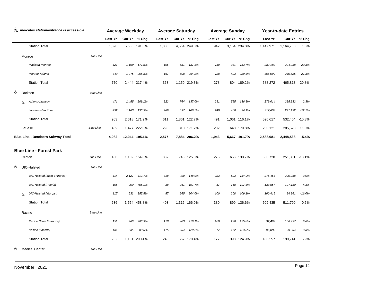| ሌ  | indicates station/entrance is accessible |         | <b>Average Weekday</b> |               |         | <b>Average Saturday</b> |            |         | <b>Average Sunday</b> |              |           | <b>Year-to-date Entries</b> |              |
|----|------------------------------------------|---------|------------------------|---------------|---------|-------------------------|------------|---------|-----------------------|--------------|-----------|-----------------------------|--------------|
|    |                                          | Last Yr |                        | Cur Yr % Chg  | Last Yr | Cur Yr % Chg            |            | Last Yr |                       | Cur Yr % Chg | Last Yr   |                             | Cur Yr % Chg |
|    | <b>Station Total</b>                     | 1,890   |                        | 5,505 191.3%  | 1,303   | 4,554 249.5%            |            | 942     |                       | 3,154 234.8% | 1,147,971 | 1,164,733                   | 1.5%         |
|    | Blue Line<br>Monroe                      |         |                        |               |         |                         |            |         |                       |              |           |                             |              |
|    | Madison-Monroe                           | 421     | 1,169                  | 177.5%        | 196     | 551                     | 181.8%     | 150     | 381                   | 153.7%       | 282,182   | 224,988                     | $-20.3%$     |
|    | Monroe-Adams                             | 349     | 1,275                  | 265.8%        | 167     | 608                     | 264.2%     | 128     | 423                   | 229.3%       | 306,090   | 240,825                     | $-21.3%$     |
|    | <b>Station Total</b>                     | 770     |                        | 2,444 217.4%  | 363     | 1,159 219.3%            |            | 278     |                       | 804 189.2%   | 588,272   | 465,813 -20.8%              |              |
| රු | Blue Line<br>Jackson                     |         |                        |               |         |                         |            |         |                       |              |           |                             |              |
|    | Adams-Jackson<br>Ġ.                      | 471     | 1,455                  | 209.1%        | 322     | 764                     | 137.0%     | 251     | 595                   | 136.8%       | 279,014   | 285,332                     | 2.3%         |
|    | Jackson-Van Buren                        | 492     | 1,163                  | 136.3%        | 289     | 597                     | 106.7%     | 240     | 466                   | 94.1%        | 317,603   | 247,132                     | $-22.2%$     |
|    | <b>Station Total</b>                     | 963     |                        | 2,618 171.9%  | 611     | 1,361 122.7%            |            | 491     |                       | 1,061 116.1% | 596,617   | 532,464                     | $-10.8%$     |
|    | LaSalle<br><b>Blue Line</b>              | 459     |                        | 1,477 222.0%  | 298     |                         | 810 171.7% | 232     |                       | 648 179.8%   | 256,121   | 285,528                     | 11.5%        |
|    | <b>Blue Line - Dearborn Subway Total</b> | 4,082   |                        | 12,044 195.1% | 2,575   | 7,884 206.2%            |            | 1,943   |                       | 5,667 191.7% | 2,588,981 | 2,448,538                   | $-5.4%$      |
|    | <b>Blue Line - Forest Park</b>           |         |                        |               |         |                         |            |         |                       |              |           |                             |              |
|    | Clinton<br><b>Blue Line</b>              | 468     |                        | 1,189 154.0%  | 332     |                         | 748 125.3% | 275     |                       | 656 138.7%   | 306,720   | 251,301 -18.1%              |              |
| Ġ. | UIC-Halsted<br>Blue Line                 |         |                        |               |         |                         |            |         |                       |              |           |                             |              |
|    | <b>UIC-Halsted (Main Entrance)</b>       | 414     | 2,121                  | 412.7%        | 318     | 790                     | 148.9%     | 223     | 523                   | 134.9%       | 275,463   | 300,258                     | 9.0%         |
|    | <b>UIC-Halsted</b> (Peoria)              | 105     | 900                    | 755.1%        | 88      | 261                     | 197.7%     | 57      | 168                   | 197.3%       | 133,557   | 127,180                     | $-4.8%$      |
|    | UIC-Halsted (Morgan)<br>Ġ.               | 117     | 533                    | 355.5%        | 87      | 265                     | 204.0%     | 100     | 208                   | 109.1%       | 100,415   | 84,361                      | $-16.0%$     |
|    | <b>Station Total</b>                     | 636     |                        | 3,554 458.8%  | 493     | 1,316 166.9%            |            | 380     | 899                   | 136.6%       | 509,435   | 511,799                     | 0.5%         |
|    | Blue Line<br>Racine                      |         |                        |               |         |                         |            |         |                       |              |           |                             |              |
|    | Racine (Main Entrance)                   | 151     | 466                    | 208.9%        | 128     | 403                     | 216.1%     | 100     | 226                   | 125.8%       | 92,469    | 100,437                     | 8.6%         |
|    | Racine (Loomis)                          | 131     | 635                    | 383.5%        | 115     | 254                     | 120.2%     | 77      | 172                   | 123.8%       | 96,088    | 99,304                      | 3.3%         |
|    | <b>Station Total</b>                     | 282     |                        | 1,101 290.4%  | 243     |                         | 657 170.4% | 177     |                       | 398 124.9%   | 188,557   | 199,741                     | 5.9%         |
| ලා | <b>Medical Center</b><br>Blue Line       |         |                        |               |         |                         |            |         |                       |              |           |                             |              |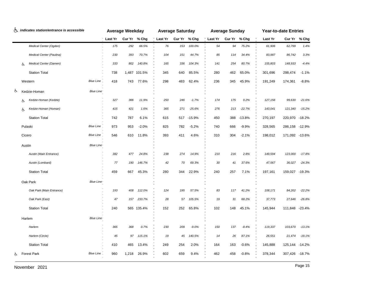|    |        | indicates station/entrance is accessible |                  |         | <b>Average Weekday</b> |              |         | <b>Average Saturday</b> |          |                | <b>Average Sunday</b> |          |         | <b>Year-to-date Entries</b> |          |
|----|--------|------------------------------------------|------------------|---------|------------------------|--------------|---------|-------------------------|----------|----------------|-----------------------|----------|---------|-----------------------------|----------|
|    |        |                                          |                  | Last Yr |                        | Cur Yr % Chg | Last Yr | Cur Yr % Chg            |          | <b>Last Yr</b> | Cur Yr % Chg          |          | Last Yr | Cur Yr % Chg                |          |
|    |        | Medical Center (Ogden)                   |                  | 175     | 292                    | 66.5%        | 76      | 153                     | 100.0%   | 54             | 94                    | 75.2%    | 61,906  | 62,799                      | 1.4%     |
|    |        | Medical Center (Paulina)                 |                  | 230     | 393                    | 70.7%        | 104     | 151                     | 44.7%    | 85             | 114                   | 34.4%    | 83,987  | 86,742                      | 3.3%     |
|    | Ġ.     | Medical Center (Damen)                   |                  | 333     | 802                    | 140.8%       | 165     | 336                     | 104.3%   | 141            | 254                   | 80.7%    | 155,803 | 148,933                     | $-4.4%$  |
|    |        | <b>Station Total</b>                     |                  | 738     |                        | 1,487 101.5% | 345     | 640                     | 85.5%    | 280            | 462                   | 65.0%    | 301,696 | 298,474                     | $-1.1%$  |
|    |        | Western                                  | <b>Blue Line</b> | 418     | 743                    | 77.6%        | 298     | 483                     | 62.4%    | 236            | 345                   | 45.9%    | 191,249 | 174,361                     | $-8.8%$  |
| ৬  |        | Kedzie-Homan                             | Blue Line        |         |                        |              |         |                         |          |                |                       |          |         |                             |          |
|    | Ġ.     | Kedzie-Homan (Kedzie)                    |                  | 327     | 366                    | 11.9%        | 250     | 246                     | $-1.7%$  | 174            | 175                   | 0.2%     | 127,156 | 99,630                      | $-21.6%$ |
|    | Ġ.     | Kedzie-Homan (Homan)                     |                  | 415     | 421                    | 1.6%         | 365     | 271                     | $-25.6%$ | 276            | 213                   | $-22.7%$ | 143,041 | 121,340                     | $-15.2%$ |
|    |        | <b>Station Total</b>                     |                  | 742     | 787                    | 6.1%         | 615     | 517                     | -15.9%   | 450            | 388                   | $-13.8%$ | 270,197 | 220,970                     | -18.2%   |
|    |        | Pulaski                                  | <b>Blue Line</b> | 973     | 953                    | $-2.0%$      | 825     | 782                     | $-5.2%$  | 740            | 666                   | $-9.9%$  | 328,565 | 286,158                     | $-12.9%$ |
|    | Cicero |                                          | Blue Line        | 546     | 610                    | 11.8%        | 393     | 411                     | 4.6%     | 310            | 304                   | $-2.1%$  | 198,012 | 171,092 -13.6%              |          |
|    | Austin |                                          | Blue Line        |         |                        |              |         |                         |          |                |                       |          |         |                             |          |
|    |        | Austin (Main Entrance)                   |                  | 382     | 477                    | 24.8%        | 238     | 274                     | 14.9%    | 210            | 216                   | 2.8%     | 149,594 | 123,000                     | $-17.8%$ |
|    |        | Austin (Lombard)                         |                  | 77      | 190                    | 146.7%       | 42      | 70                      | 69.3%    | 30             | 41                    | 37.6%    | 47,567  | 36,027                      | $-24.3%$ |
|    |        | <b>Station Total</b>                     |                  | 459     | 667                    | 45.3%        | 280     | 344                     | 22.9%    | 240            | 257                   | 7.1%     | 197,161 | 159,027 -19.3%              |          |
|    |        | Oak Park                                 | Blue Line        |         |                        |              |         |                         |          |                |                       |          |         |                             |          |
|    |        | Oak Park (Main Entrance)                 |                  | 193     | 408                    | 112.0%       | 124     | 195                     | 57.5%    | 83             | 117                   | 41.2%    | 108,171 | 84,202                      | $-22.2%$ |
|    |        | Oak Park (East)                          |                  | 47      | 157                    | 233.7%       | 28      | 57                      | 105.5%   | 19             | 31                    | 68.2%    | 37,773  | 27,646                      | $-26.8%$ |
|    |        | <b>Station Total</b>                     |                  | 240     |                        | 565 135.4%   | 152     | 252                     | 65.8%    | 102            | 148                   | 45.1%    | 145,944 | 111,848 -23.4%              |          |
|    |        | Harlem                                   | Blue Line        |         |                        |              |         |                         |          |                |                       |          |         |                             |          |
|    |        | Harlem                                   |                  | 365     | 368                    | 0.7%         | 230     | 209                     | $-9.0%$  | 150            | 137                   | $-8.4%$  | 119,337 | 103,670                     | $-13.1%$ |
|    |        | Harlem (Circle)                          |                  | 45      | 97                     | 115.1%       | 19      | 45                      | 140.5%   | 14             | 26                    | 87.1%    | 26,551  | 21,474                      | $-19.1%$ |
|    |        | <b>Station Total</b>                     |                  | 410     | 465                    | 13.4%        | 249     | 254                     | 2.0%     | 164            | 163                   | $-0.6%$  | 145,888 | 125,144                     | $-14.2%$ |
| රා |        | <b>Forest Park</b>                       | <b>Blue Line</b> | 960     | 1,218                  | 26.9%        | 602     | 659                     | 9.4%     | 462            | 458                   | $-0.8%$  | 378,344 | 307,426 -18.7%              |          |
|    |        |                                          |                  |         |                        |              |         |                         |          |                |                       |          |         |                             |          |

Page 15 November 2021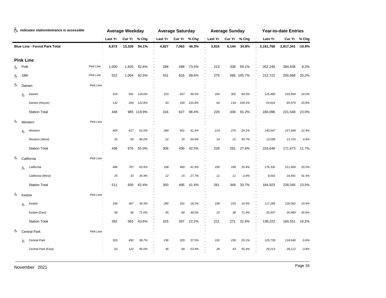|    |      | indicates station/entrance is accessible |           |                | <b>Average Weekday</b> |              |         | <b>Average Saturday</b> |              |         | <b>Average Sunday</b> |              |           | <b>Year-to-date Entries</b> |         |
|----|------|------------------------------------------|-----------|----------------|------------------------|--------------|---------|-------------------------|--------------|---------|-----------------------|--------------|-----------|-----------------------------|---------|
|    |      |                                          |           | <b>Last Yr</b> |                        | Cur Yr % Chg | Last Yr |                         | Cur Yr % Chg | Last Yr |                       | Cur Yr % Chg | Last Yr   | Cur Yr % Chg                |         |
|    |      | <b>Blue Line - Forest Park Total</b>     |           | 6,872          | 13,339                 | 94.1%        | 4,827   | 7,063                   | 46.3%        | 3,816   | 5,144                 | 34.8%        | 3,161,768 | 2,817,341                   | -10.9%  |
|    |      | <b>Pink Line</b>                         |           |                |                        |              |         |                         |              |         |                       |              |           |                             |         |
| රා | Polk |                                          | Pink Line | 1,000          | 1,826                  | 82.6%        | 288     | 499                     | 73.5%        | 213     | 338                   | 59.1%        | 352,245   | 384,638                     | 9.2%    |
| රූ | 18th |                                          | Pink Line | 522            | 1,004                  | 92.5%        | 431     | 816                     | 89.6%        | 275     |                       | 566 105.7%   | 212,722   | 255,668                     | 20.2%   |
| රු |      | Damen                                    | Pink Line |                |                        |              |         |                         |              |         |                       |              |           |                             |         |
|    | 占    | Damen                                    |           | 316            | 691                    | 118.6%       | 223     | 437                     | 96.5%        | 164     | 302                   | 84.5%        | 125,480   | 155,569                     | 24.0%   |
|    |      | Damen (Hoyne)                            |           | 132            | 294                    | 122.8%       | 93      | 190                     | 103.8%       | 64      | 134                   | 109.1%       | 54,616    | 65,979                      | 20.8%   |
|    |      | <b>Station Total</b>                     |           | 448            |                        | 985 119.9%   | 316     | 627                     | 98.4%        | 228     | 436                   | 91.2%        | 180,096   | 221,548                     | 23.0%   |
| ර  |      | Western                                  | Pink Line |                |                        |              |         |                         |              |         |                       |              |           |                             |         |
|    | Ġ.   | Western                                  |           | 404            | 617                    | 52.5%        | 284     | 401                     | 41.4%        | 214     | 270                   | 26.1%        | 140,547   | 157,948                     | 12.4%   |
|    |      | Western (West)                           |           | 32             | 59                     | 86.0%        | 22      | 35                      | 56.8%        | 14      | 21                    | 50.7%        | 13,099    | 13,725                      | 4.8%    |
|    |      | <b>Station Total</b>                     |           | 436            | 676                    | 55.0%        | 306     | 436                     | 42.5%        | 228     | 291                   | 27.6%        | 153,646   | 171,673                     | 11.7%   |
| රූ |      | California                               | Pink Line |                |                        |              |         |                         |              |         |                       |              |           |                             |         |
|    | Ġ.   | California                               |           | 486            | 797                    | 63.9%        | 338     | 480                     | 41.9%        | 250     | 338                   | 35.4%        | 176,332   | 211,904                     | 20.2%   |
|    |      | California (West)                        |           | 25             | 33                     | 35.4%        | 12      | 15                      | 27.7%        | 11      | 11                    | $-2.9%$      | 8,591     | 16,441                      | 91.4%   |
|    |      | <b>Station Total</b>                     |           | 511            | 830                    | 62.4%        | 350     | 495                     | 41.4%        | 261     | 349                   | 33.7%        | 184,923   | 228,345                     | 23.5%   |
| රු |      | Kedzie                                   | Pink Line |                |                        |              |         |                         |              |         |                       |              |           |                             |         |
|    | Ġ.   | Kedzie                                   |           | 336            | 467                    | 39.3%        | 280     | 331                     | 18.2%        | 199     | 233                   | 16.9%        | 117,285   | 130,062                     | 10.9%   |
|    |      | Kedzie (East)                            |           | 56             | 96                     | 71.6%        | 45      | 66                      | 48.0%        | 22      | 38                    | 71.4%        | 20,937    | 30,489                      | 45.6%   |
|    |      | <b>Station Total</b>                     |           | 392            | 563                    | 43.6%        | 325     | 397                     | 22.2%        | 221     | 271                   | 22.6%        | 138,222   | 160,551                     | 16.2%   |
| රු |      | Central Park                             | Pink Line |                |                        |              |         |                         |              |         |                       |              |           |                             |         |
|    | Ġ.   | Central Park                             |           | 325            | 450                    | 38.7%        | 236     | 325                     | 37.5%        | 191     | 239                   | 25.1%        | 125,739   | 118,646                     | $-5.6%$ |
|    |      | Central Park (East)                      |           | 63             | 122                    | 95.0%        | 45      | 68                      | 53.4%        | 28      | 43                    | 55.4%        | 29,213    | 28,112                      | $-3.8%$ |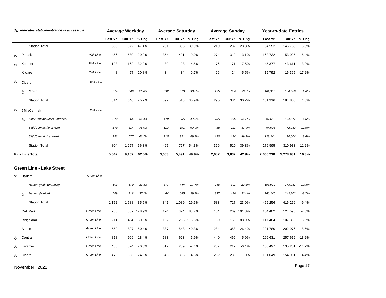|    |    | indicates station/entrance is accessible |            |          | <b>Average Weekday</b> |              |         | <b>Average Saturday</b> |            |                | <b>Average Sunday</b> |         |           | <b>Year-to-date Entries</b> |               |
|----|----|------------------------------------------|------------|----------|------------------------|--------------|---------|-------------------------|------------|----------------|-----------------------|---------|-----------|-----------------------------|---------------|
|    |    |                                          |            | 'Last Yr |                        | Cur Yr % Chg | Last Yr | Cur Yr % Chg            |            | <b>Last Yr</b> | Cur Yr % Chg          |         | Last Yr   |                             | Cur Yr % Chg  |
|    |    | <b>Station Total</b>                     |            | 388      | 572                    | 47.4%        | 281     | 393                     | 39.9%      | 219            | 282                   | 28.8%   | 154,952   | 146,758                     | $-5.3%$       |
| රා |    | Pulaski                                  | Pink Line  | 456      | 589                    | 29.2%        | 354     | 421                     | 19.0%      | 274            | 310                   | 13.1%   | 162,732   | 153,925                     | $-5.4%$       |
| ৬  |    | Kostner                                  | Pink Line  | 123      | 162                    | 32.2%        | 89      | 93                      | 4.5%       | 76             | 71                    | $-7.5%$ | 45,377    | 43,611                      | $-3.9%$       |
|    |    | Kildare                                  | Pink Line  | 48       | 57                     | 20.8%        | 34      | 34                      | 0.7%       | 26             | 24                    | $-5.5%$ | 19,792    |                             | 16,395 -17.2% |
| රු |    | Cicero                                   | Pink Line  |          |                        |              |         |                         |            |                |                       |         |           |                             |               |
|    | රු | Cicero                                   |            | 514      | 646                    | 25.8%        | 392     | 513                     | 30.8%      | 295            | 384                   | 30.3%   | 181,916   | 184,886                     | 1.6%          |
|    |    | <b>Station Total</b>                     |            | 514      | 646                    | 25.7%        | 392     | 513                     | 30.9%      | 295            | 384                   | 30.2%   | 181,916   | 184,886                     | 1.6%          |
| ৬  |    | 54th/Cermak                              | Pink Line  |          |                        |              |         |                         |            |                |                       |         |           |                             |               |
|    | Ġ. | 54th/Cermak (Main Entrance)              |            | 272      | 366                    | 34.4%        | 170     | 255                     | 49.8%      | 155            | 205                   | 31.8%   | 91,613    | 104,877                     | 14.5%         |
|    |    | 54th/Cermak (54th Ave)                   |            | 179      | 314                    | 76.0%        | 112     | 191                     | 69.9%      | 88             | 121                   | 37.4%   | 64,638    | 72,052                      | 11.5%         |
|    |    | 54th/Cermak (Laramie)                    |            | 353      | 577                    | 63.7%        | 215     | 321                     | 49.1%      | 123            | 184                   | 49.2%   | 123,344   | 134,004                     | 8.6%          |
|    |    | <b>Station Total</b>                     |            | 804      | 1,257                  | 56.3%        | 497     | 767                     | 54.3%      | 366            | 510                   | 39.3%   | 279,595   | 310,933                     | 11.2%         |
|    |    | <b>Pink Line Total</b>                   |            | 5,642    | 9,167                  | 62.5%        | 3,663   | 5,491                   | 49.9%      | 2,682          | 3,832                 | 42.9%   | 2,066,218 | 2,278,931                   | 10.3%         |
|    |    |                                          |            |          |                        |              |         |                         |            |                |                       |         |           |                             |               |
|    |    | <b>Green Line - Lake Street</b>          |            |          |                        |              |         |                         |            |                |                       |         |           |                             |               |
| ය  |    | Harlem                                   | Green Line |          |                        |              |         |                         |            |                |                       |         |           |                             |               |
|    |    | Harlem (Main Entrance)                   |            | 503      | 670                    | 33.3%        | 377     | 444                     | 17.7%      | 246            | 301                   | 22.3%   | 193,010   | 173,057                     | $-10.3%$      |
|    | Ġ. | Harlem (Marion)                          |            | 669      | 918                    | 37.1%        | 464     | 645                     | 39.1%      | 337            | 416                   | 23.4%   | 266,246   | 243,202                     | $-8.7%$       |
|    |    | <b>Station Total</b>                     |            | 1,172    | 1,588                  | 35.5%        | 841     | 1,089                   | 29.5%      | 583            | 717                   | 23.0%   | 459,256   | 416,259                     | $-9.4%$       |
|    |    | Oak Park                                 | Green Line | 235      |                        | 537 128.9%   | 174     | 324                     | 85.7%      | 104            | 209                   | 101.8%  | 134,402   | 124,598                     | $-7.3%$       |
|    |    | Ridgeland                                | Green Line | 211      | 484                    | 130.0%       | 132     |                         | 285 115.3% | 89             | 168                   | 88.9%   | 117,484   | 107,356                     | $-8.6%$       |
|    |    | Austin                                   | Green Line | 550      | 827                    | 50.4%        | 387     | 543                     | 40.3%      | 284            | 358                   | 26.4%   | 221,780   | 202,976                     | $-8.5%$       |
|    |    | Central                                  | Green Line | 818      | 969                    | 18.4%        | 583     | 623                     | 6.9%       | 440            | 466                   | 5.9%    | 296,631   | 257,619 -13.2%              |               |
| ৬  |    | Laramie                                  | Green Line | 436      | 524                    | 20.0%        | 312     | 289                     | $-7.4%$    | 232            | 217                   | $-6.4%$ | 158,497   | 135,201 -14.7%              |               |
| ය  |    | Cicero                                   | Green Line | 478      | 593                    | 24.0%        | 345     | 395                     | 14.3%      | 282            | 285                   | 1.0%    | 181,049   | 154,931 -14.4%              |               |

Page 17 November 2021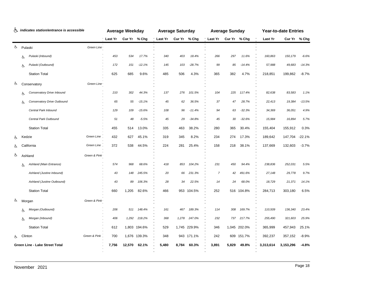| ৬. |    | indicates station/entrance is accessible |                           |         | <b>Average Weekday</b> |              |         | <b>Average Saturday</b> |              |                | <b>Average Sunday</b> |              |           | <b>Year-to-date Entries</b> |              |
|----|----|------------------------------------------|---------------------------|---------|------------------------|--------------|---------|-------------------------|--------------|----------------|-----------------------|--------------|-----------|-----------------------------|--------------|
|    |    |                                          |                           | Last Yr |                        | Cur Yr % Chg | Last Yr |                         | Cur Yr % Chg | Last Yr        |                       | Cur Yr % Chg | Last Yr   |                             | Cur Yr % Chg |
| Ġ. |    | Pulaski                                  | Green Line                |         |                        |              |         |                         |              |                |                       |              |           |                             |              |
|    | Ġ. | Pulaski (Inbound)                        |                           | 453     | 534                    | 17.7%        | 340     | 403                     | 18.4%        | 266            | 297                   | 11.6%        | 160,863   | 150,179                     | $-6.6%$      |
|    | Ġ. | Pulaski (Outbound)                       |                           | 172     | 151                    | $-12.1%$     | 145     | 103                     | $-28.7%$     | 99             | 85                    | $-14.4%$     | 57,988    | 49,683                      | $-14.3%$     |
|    |    | <b>Station Total</b>                     |                           | 625     | 685                    | 9.6%         | 485     | 506                     | 4.3%         | 365            | 382                   | 4.7%         | 218,851   | 199,862                     | $-8.7%$      |
| ය  |    | Conservatory                             | Green Line                |         |                        |              |         |                         |              |                |                       |              |           |                             |              |
|    | Ġ. | Conservatory Drive Inbound               |                           | 210     | 302                    | 44.3%        | 137     | 276                     | 101.5%       | 104            | 225                   | 117.4%       | 82,638    | 83,583                      | 1.1%         |
|    | Ġ. | Conservatory Drive Outbound              |                           | 65      | 55                     | $-15.1%$     | 45      | 62                      | 36.5%        | 37             | 47                    | 28.7%        | 22,413    | 19,384                      | $-13.5%$     |
|    |    | Central Park Inbound                     |                           | 129     | 109                    | $-15.6%$     | 108     | 96                      | $-11.4%$     | 94             | 63                    | $-32.3%$     | 34,369    | 36,051                      | 4.9%         |
|    |    | Central Park Outbound                    |                           | 51      | 48                     | $-5.5%$      | 45      | 29                      | $-34.8%$     | 45             | 30                    | $-32.6%$     | 15,984    | 16,894                      | 5.7%         |
|    |    | <b>Station Total</b>                     |                           | 455     | 514                    | 13.0%        | 335     | 463                     | 38.2%        | 280            | 365                   | 30.4%        | 155,404   | 155,912                     | 0.3%         |
| රා |    | Kedzie                                   | Green Line                | 432     | 627                    | 45.1%        | 319     | 345                     | 8.2%         | 234            | 274                   | 17.3%        | 189,642   | 147,704                     | $-22.1%$     |
| Ġ. |    | California                               | Green Line,               | 372     | 538                    | 44.5%        | 224     | 281                     | 25.4%        | 158            | 218                   | 38.1%        | 137,669   | 132,603                     | $-3.7%$      |
| රු |    | Ashland                                  | Green & Pink <sup>®</sup> |         |                        |              |         |                         |              |                |                       |              |           |                             |              |
|    | Ġ. | Ashland (Main Entrance)                  |                           | 574     | 968                    | 68.6%        | 418     | 853                     | 104.2%       | 231            | 450                   | 94.4%        | 238,836   | 252,031                     | 5.5%         |
|    |    | Ashland (Justine Inbound)                |                           | 43      | 148                    | 245.5%       | 20      | 66                      | 231.3%       | $\overline{7}$ | 42                    | 491.6%       | 27,148    | 29,778                      | 9.7%         |
|    |    | Ashland (Justine Outbound)               |                           | 43      | 89                     | 106.3%       | 28      | 34                      | 22.5%        | 14             | 24                    | 68.0%        | 18,729    | 21,371                      | 14.1%        |
|    |    | <b>Station Total</b>                     |                           | 660     | 1,205                  | 82.6%        | 466     |                         | 953 104.5%   | 252            |                       | 516 104.8%   | 284,713   | 303,180                     | 6.5%         |
| Ġ. |    | Morgan                                   | Green & Pink              |         |                        |              |         |                         |              |                |                       |              |           |                             |              |
|    | Ġ. | Morgan (Outbound)                        |                           | 206     | 511                    | 148.4%       | 161     | 467                     | 189.3%       | 114            | 308                   | 169.7%       | 110,509   | 136,340                     | 23.4%        |
|    | Ġ. | Morgan (Inbound)                         |                           | 406     | 1,292                  | 218.2%       | 368     | 1,278                   | 247.0%       | 232            |                       | 737 217.7%   | 255,490   | 321,603                     | 25.9%        |
|    |    | <b>Station Total</b>                     |                           | 612     |                        | 1,803 194.6% | 529     |                         | 1,745 229.9% | 346            |                       | 1,045 202.0% | 365,999   | 457,943                     | 25.1%        |
| රා |    | Clinton                                  | Green & Pink              | 700     |                        | 1,676 139.3% | 348     |                         | 943 171.1%   | 242            |                       | 609 151.7%   | 392,237   | 357,152                     | $-8.9%$      |
|    |    | Green Line - Lake Street Total           |                           | 7,756   | 12,570                 | 62.1%        | 5,480   | 8,784                   | 60.3%        | 3,891          | 5,829                 | 49.8%        | 3,313,614 | 3,153,296                   | $-4.8%$      |
|    |    |                                          |                           |         |                        |              |         |                         |              |                |                       |              |           |                             |              |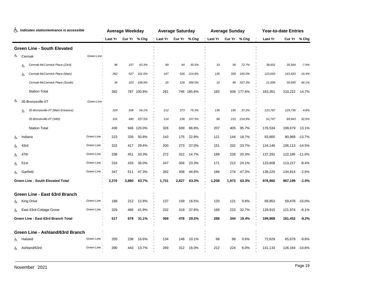|     | indicates station/entrance is accessible                          |         | <b>Average Weekday</b> |              |       | <b>Average Saturday</b> |            |                        | <b>Average Sunday</b> |            |         | <b>Year-to-date Entries</b> |               |
|-----|-------------------------------------------------------------------|---------|------------------------|--------------|-------|-------------------------|------------|------------------------|-----------------------|------------|---------|-----------------------------|---------------|
|     |                                                                   | Last Yr |                        | Cur Yr % Chg |       | Last Yr Cur Yr % Chg    |            | ' Last Yr Cur Yr % Chg |                       |            | Last Yr | Cur Yr % Chg                |               |
|     | <b>Green Line - South Elevated</b>                                |         |                        |              |       |                         |            |                        |                       |            |         |                             |               |
| ර   | Cermak<br>Green Line <sup>®</sup>                                 |         |                        |              |       |                         |            |                        |                       |            |         |                             |               |
|     | Cermak-McCormick Place (23rd)<br>Ġ.                               | 96      | 157                    | 63.3%        | 69    | 94                      | 35.5%      | 33                     | 56                    | 72.7%      | 38,652  | 35,594                      | $-7.9%$       |
|     | Cermak-McCormick Place (Main)<br>Ġ.                               | 262     | 527                    | 101.5%       | 167   | 526                     | 214.8%     | 135                    | 356                   | 165.0%     | 123,693 | 143,933                     | 16.4%         |
|     | Cermak-McCormick Place (South)                                    | 34      | 103                    | 198.9%       | 25    | 126                     | 398.0%     | 15                     | 96                    | 557.3%     | 21,006  | 30,695                      | 46.1%         |
|     | <b>Station Total</b>                                              | 392     |                        | 787 100.8%   | 261   |                         | 746 185.8% | 183                    |                       | 508 177.6% | 183,351 | 210,222                     | 14.7%         |
| Ğ.  | 35-Bronzeville-IIT<br>Green Line <sup>®</sup>                     |         |                        |              |       |                         |            |                        |                       |            |         |                             |               |
|     | 35-Bronzeville-IIT (Main Entrance)<br>Ġ.                          | 329     | 506                    | 54.1%        | 212   | 373                     | 76.3%      | 139                    | 190                   | 37.2%      | 123,787 | 129,736                     | 4.8%          |
|     | 35-Bronzeville-IIT (34th)                                         | 101     | 440                    | 337.5%       | 114   | 236                     | 107.5%     | 68                     | 215                   | 214.9%     | 52,747  | 69,943                      | 32.6%         |
|     | <b>Station Total</b>                                              | 430     |                        | 946 120.0%   | 326   | 609                     | 86.8%      | 207                    | 405                   | 95.7%      | 176,534 | 199,679                     | 13.1%         |
| ලිං | Green Line<br>Indiana                                             | 223     | 335                    | 50.8%        | 143   | 175                     | 22.8%      | 121                    | 144                   | 18.7%      | 93,805  | 80,969                      | $-13.7%$      |
| රා  | Green Line<br>43rd                                                | 322     | 417                    | 29.4%        | 200   | 273                     | 37.0%      | 151                    | 202                   | 33.7%      | 124,146 | 106,113 -14.5%              |               |
| රා  | Green Line.<br>47th                                               | 338     | 451                    | 33.3%        | 272   | 312                     | 14.7%      | 189                    | 228                   | 20.3%      | 137,291 | 122,185                     | $-11.0%$      |
| ර්  | Green Line.<br>51 <sub>st</sub>                                   | 318     | 433                    | 36.0%        | 247   | 304                     | 23.3%      | 171                    | 212                   | 24.1%      | 123,608 | 113,217                     | $-8.4%$       |
| ৬   | Green Line<br>Garfield                                            | 347     | 511                    | 47.3%        | 282   | 408                     | 44.8%      | 186                    | 274                   | 47.3%      | 138,225 | 134,814                     | $-2.5%$       |
|     | Green Line - South Elevated Total                                 | 2,370   | 3,880                  | 63.7%        | 1,731 | 2,827                   | 63.3%      | 1,208                  | 1,973                 | 63.3%      | 976,960 | 967,199                     | $-1.0%$       |
|     |                                                                   |         |                        |              |       |                         |            |                        |                       |            |         |                             |               |
| රා  | Green Line - East 63rd Branch<br>Green Line.<br><b>King Drive</b> | 188     | 212                    | 12.8%        | 137   | 159                     | 16.5%      | 120                    | 121                   | 0.8%       | 69,953  |                             | 59,478 -15.0% |
| රා  | Green Line<br>East 63rd-Cottage Grove                             | 329     | 466                    | 41.9%        | 232   | 319                     | 37.6%      | 168                    | 223                   | 32.7%      | 129,915 | 121,974                     | $-6.1%$       |
|     | Green Line - East 63rd Branch Total                               | 517     | 678                    | 31.1%        | 369   | 478                     | 29.5%      | 288                    | 344                   | 19.4%      | 199,868 | 181,452                     | $-9.2%$       |
|     |                                                                   |         |                        |              |       |                         |            |                        |                       |            |         |                             |               |
|     | Green Line - Ashland/63rd Branch                                  |         |                        |              |       |                         |            |                        |                       |            |         |                             |               |
| රා  | Green Line<br>Halsted                                             | 205     | 238                    | 16.6%        | 134   | 148                     | 10.1%      | 98                     | 99                    | 0.6%       | 72,629  | 65,679                      | $-9.6%$       |
| රු  | Green Line<br>Ashland/63rd                                        | 390     | 443                    | 13.7%        | 269   | 312                     | 16.0%      | 212                    | 224                   | 6.0%       | 141,133 | 126,164 -10.6%              |               |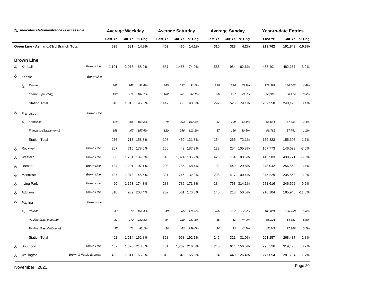| indicates station/entrance is accessible |                         |                        | <b>Average Weekday</b> |       |              | <b>Average Saturday</b> |       |              |          | <b>Average Sunday</b> |              | <b>Year-to-date Entries</b> |                |              |
|------------------------------------------|-------------------------|------------------------|------------------------|-------|--------------|-------------------------|-------|--------------|----------|-----------------------|--------------|-----------------------------|----------------|--------------|
|                                          |                         |                        | <b>Last Yr</b>         |       | Cur Yr % Chg | Last Yr                 |       | Cur Yr % Chg | 'Last Yr |                       | Cur Yr % Chg | Last Yr                     |                | Cur Yr % Chg |
| Green Line - Ashland/63rd Branch Total   |                         | 595                    | 681                    | 14.5% | 403          | 460                     | 14.1% | 310          | 323      | 4.2%                  | 213,762      | 191,843 -10.3%              |                |              |
| <b>Brown Line</b>                        |                         |                        |                        |       |              |                         |       |              |          |                       |              |                             |                |              |
| Ġ.                                       | Kimball                 | <b>Brown Line</b>      | 1,101                  | 2,073 | 88.2%        | 837                     | 1,456 | 74.0%        | 586      | 954                   | 62.6%        | 467,401                     | 482,167        | 3.2%         |
| රු                                       | Kedzie                  | Brown Line             |                        |       |              |                         |       |              |          |                       |              |                             |                |              |
|                                          | Kedzie<br>Ġ.            |                        | 388                    | 742   | 91.4%        | 340                     | 652   | 91.5%        | 226      | 396                   | 75.1%        | 172,391                     | 180,002        | 4.4%         |
|                                          | Kedzie (Spaulding)      |                        | 130                    | 271   | 107.7%       | 102                     | 201   | 97.1%        | 66       | 127                   | 93.5%        | 59,967                      | 60,174         | 0.3%         |
|                                          | <b>Station Total</b>    |                        | 518                    | 1,013 | 95.6%        | 442                     | 853   | 93.0%        | 292      | 523                   | 79.1%        | 232,358                     | 240,176        | 3.4%         |
| ල                                        | Francisco               | Brown Line             |                        |       |              |                         |       |              |          |                       |              |                             |                |              |
|                                          | Francisco<br>Ġ.         |                        | 118                    | 306   | 159.2%       | 78                      | 203   | 162.3%       | 67       | 109                   | 63.1%        | 66,041                      | 67,634         | 2.4%         |
|                                          | Francisco (Sacramento)  |                        | 158                    | 407   | 157.6%       | 120                     | 256   | 113.1%       | 87       | 156                   | 80.6%        | 86,782                      | 87,761         | 1.1%         |
|                                          | <b>Station Total</b>    |                        | 276                    |       | 713 158.3%   | 198                     |       | 459 131.8%   | 154      | 265                   | 72.1%        | 152,823                     | 155,395        | 1.7%         |
| Ġ.                                       | Rockwell                | <b>Brown Line</b>      | 257                    |       | 715 178.0%   | 156                     |       | 449 187.2%   | 123      |                       | 254 105.8%   | 157,773                     | 146,693        | $-7.0%$      |
| ය                                        | Western                 | Brown Line.            | 836                    |       | 1,751 109.6% | 643                     |       | 1,324 105.9% | 428      | 784                   | 83.5%        | 415,583                     | 400,771        | $-3.6%$      |
| Ġ.                                       | Damen                   | Brown Line.            | 434                    |       | 1,291 197.1% | 293                     |       | 785 168.4%   | 192      |                       | 440 129.8%   | 248,042                     | 256,562        | 3.4%         |
| Ġ.                                       | Montrose                | Brown Line             | 437                    |       | 1,073 145.5% | 321                     |       | 746 132.3%   | 208      |                       | 417 100.4%   | 245,229                     | 235,553        | $-3.9%$      |
| Ġ.                                       | <b>Irving Park</b>      | Brown Line.            | 420                    |       | 1,153 174.3% | 288                     |       | 782 171.8%   | 184      |                       | 763 314.1%   | 271,616                     | 246,522        | $-9.2%$      |
| Ġ.                                       | Addison                 | Brown Line.            | 310                    |       | 939 203.4%   | 207                     |       | 561 170.8%   | 145      | 218                   | 50.5%        | 210,104                     | 185,945 -11.5% |              |
| ৬                                        | Paulina                 | Brown Line             |                        |       |              |                         |       |              |          |                       |              |                             |                |              |
|                                          | Paulina<br>Ġ.           |                        | 343                    | 872   | 154.4%       | 248                     | 685   | 176.0%       | 186      | 237                   | 27.9%        | 185,894                     | 196,768        | 5.8%         |
|                                          | Paulina (East Inbound)  |                        | 82                     | 270   | 230.3%       | 54                      | 210   | 287.1%       | 35       | 61                    | 74.9%        | 58,121                      | 54,351         | $-6.5%$      |
|                                          | Paulina (East Outbound) |                        | 37                     | 72    | 93.1%        | 26                      | 63    | 139.0%       | 24       | 23                    | $-2.7%$      | 17,242                      | 17,368         | 0.7%         |
|                                          | <b>Station Total</b>    |                        | 462                    |       | 1,214 162.8% | 328                     |       | 958 192.1%   | 245      | 321                   | 31.0%        | 261,257                     | 268,487        | 2.8%         |
| ය                                        | Southport               | <b>Brown Line</b>      | 437                    |       | 1,370 213.8% | 401                     |       | 1,267 216.0% | 240      |                       | 614 156.5%   | 295,326                     | 319,473        | 8.2%         |
| රු                                       | Wellington              | Brown & Purple Express | 493                    |       | 1,311 165.8% | 318                     |       | 845 165.6%   | 194      |                       | 440 126.4%   | 277,054                     | 281,794        | 1.7%         |

Page 20 November 2021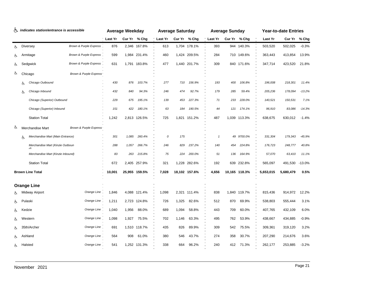| h indicates station/entrance is accessible |         | <b>Average Weekday</b>            |                                   |         | <b>Average Saturday</b> |               |         |       | <b>Average Sunday</b> |              |     | <b>Year-to-date Entries</b> |           |           |          |
|--------------------------------------------|---------|-----------------------------------|-----------------------------------|---------|-------------------------|---------------|---------|-------|-----------------------|--------------|-----|-----------------------------|-----------|-----------|----------|
|                                            |         |                                   |                                   | Last Yr |                         | Cur Yr % Chg  | Last Yr |       | Cur Yr % Chg          | Last Yr      |     | Cur Yr % Chg                | Last Yr   | Cur Yr    | % Chg    |
| රු                                         |         | <b>Diversey</b>                   | Brown & Purple Express            | 876     |                         | 2,346 167.8%  | 613     |       | 1,704 178.1%          | 393          |     | 944 140.3%                  | 503,520   | 502,025   | $-0.3%$  |
| ය                                          |         | Armitage                          | <b>Brown &amp; Purple Express</b> | 599     |                         | 1,984 231.4%  | 460     |       | 1,424 209.5%          | 284          |     | 710 149.6%                  | 363,443   | 413,854   | 13.9%    |
| රු                                         |         | Sedgwick                          | Brown & Purple Express            | 631     |                         | 1,791 183.8%  | 477     |       | 1,440 201.7%          | 309          |     | 840 171.6%                  | 347,714   | 423,520   | 21.8%    |
| ය                                          |         | Chicago                           | Brown & Purple Express'           |         |                         |               |         |       |                       |              |     |                             |           |           |          |
|                                            | Ġ.      | Chicago Outbound                  |                                   | 430     | 876                     | 103.7%        | 277     | 710   | 156.9%                | 193          | 400 | 106.8%                      | 196,008   | 218,301   | 11.4%    |
|                                            | 占       | Chicago Inbound                   |                                   | 432     | 840                     | 94.3%         | 246     | 474   | 92.7%                 | 179          | 285 | 59.4%                       | 205,236   | 178,094   | $-13.2%$ |
|                                            |         | Chicago (Superior) Outbound       |                                   | 229     | 675                     | 195.1%        | 139     | 453   | 227.3%                | 71           | 233 | 228.0%                      | 140,521   | 150,531   | 7.1%     |
|                                            |         | Chicago (Superior) Inbound        |                                   | 151     | 422                     | 180.1%        | 63      | 184   | 190.5%                | 44           | 121 | 174.1%                      | 96,910    | 83,086    | $-14.3%$ |
|                                            |         | <b>Station Total</b>              |                                   | 1,242   |                         | 2,813 126.5%  | 725     |       | 1,821 151.2%          | 487          |     | 1,039 113.3%                | 638,675   | 630,012   | $-1.4%$  |
| ৬                                          |         | Merchandise Mart                  | Brown & Purple Express'           |         |                         |               |         |       |                       |              |     |                             |           |           |          |
|                                            | Ġ.      | Merchandise Mart (Main Entrance)  |                                   | 301     | 1,085                   | 260.4%        | 0       | 175   |                       | $\mathbf{1}$ |     | 49 9700.0%                  | 331,304   | 179,343   | $-45.9%$ |
|                                            |         | Merchandise Mart (Kinzie Outboun  |                                   | 288     | 1,057                   | 266.7%        | 246     | 829   | 237.2%                | 140          | 454 | 224.8%                      | 176,723   | 248,777   | 40.8%    |
|                                            |         | Merchandise Mart (Kinzie Inbound) |                                   | 83      | 263                     | 215.8%        | 75      | 224   | 200.0%                | 51           | 136 | 164.9%                      | 57,070    | 63,410    | 11.1%    |
|                                            |         | <b>Station Total</b>              |                                   | 672     |                         | 2,405 257.9%  | 321     |       | 1,228 282.6%          | 192          |     | 639 232.8%                  | 565,097   | 491,530   | $-13.0%$ |
|                                            |         | <b>Brown Line Total</b>           |                                   | 10,001  |                         | 25,955 159.5% | 7,028   |       | 18,102 157.6%         | 4,656        |     | 10,165 118.3%               | 5,653,015 | 5,680,479 | 0.5%     |
|                                            |         | <b>Orange Line</b>                |                                   |         |                         |               |         |       |                       |              |     |                             |           |           |          |
|                                            |         | Midway Airport                    | Orange Line,                      | 1,846   |                         | 4,088 121.4%  | 1,098   |       | 2,321 111.4%          | 838          |     | 1,840 119.7%                | 815,436   | 914,972   | 12.2%    |
| රූ                                         | Pulaski |                                   | Orange Line                       | 1,211   |                         | 2,723 124.8%  | 726     | 1,325 | 82.6%                 | 512          | 870 | 69.9%                       | 538,803   | 555,444   | 3.1%     |
| ලා                                         | Kedzie  |                                   | Orange Line,                      | 1,040   | 1,956                   | 88.0%         | 689     | 1,094 | 58.8%                 | 443          | 709 | 60.0%                       | 407,765   | 432,109   | 6.0%     |
| රා                                         |         | Western                           | Orange Line                       | 1,098   | 1,927                   | 75.5%         | 702     | 1,146 | 63.3%                 | 495          | 762 | 53.9%                       | 438,667   | 434,885   | $-0.9%$  |
| ৬                                          |         | 35th/Archer                       | Orange Line                       | 691     |                         | 1,510 118.7%  | 435     | 826   | 89.9%                 | 309          | 542 | 75.5%                       | 309,361   | 319,120   | 3.2%     |
| ලා                                         |         | Ashland                           | Orange Line                       | 564     | 908                     | 61.0%         | 380     | 546   | 43.7%                 | 274          | 358 | 30.7%                       | 207,290   | 214,676   | 3.6%     |
| ය                                          | Halsted |                                   | Orange Line                       | 541     |                         | 1,252 131.3%  | 338     | 664   | 96.2%                 | 240          |     | 412 71.3%                   | 262,177   | 253,885   | $-3.2%$  |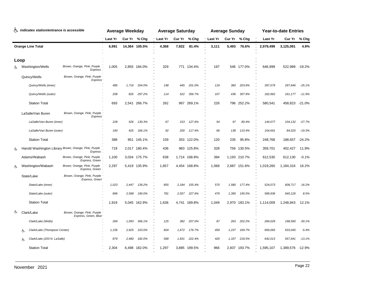| indicates station/entrance is accessible<br>ሌ |                                    |                                                                   |         | <b>Average Saturday</b><br><b>Average Weekday</b> |               |         |        |              | <b>Average Sunday</b> |       | <b>Year-to-date Entries</b> |           |           |          |
|-----------------------------------------------|------------------------------------|-------------------------------------------------------------------|---------|---------------------------------------------------|---------------|---------|--------|--------------|-----------------------|-------|-----------------------------|-----------|-----------|----------|
|                                               |                                    |                                                                   | Last Yr |                                                   | Cur Yr % Chg  | Last Yr | Cur Yr | % Chg        | Last Yr               |       | Cur Yr % Chg                | Last Yr   | Cur Yr    | % Chg    |
| <b>Orange Line Total</b>                      |                                    |                                                                   | 6,991   |                                                   | 14,364 105.5% | 4,368   | 7,922  | 81.4%        | 3,111                 | 5,493 | 76.6%                       | 2,979,499 | 3,125,091 | 4.9%     |
|                                               | Loop                               |                                                                   |         |                                                   |               |         |        |              |                       |       |                             |           |           |          |
|                                               | Washington/Wells                   | Brown, Orange, Pink, Purple<br>Express.                           | 1,005   |                                                   | 2,855 184.0%  | 329     |        | 771 134.4%   | 197                   |       | 546 177.0%                  | 646,999   | 522,989   | $-19.2%$ |
|                                               | Quincy/Wells                       | Brown, Orange, Pink, Purple "<br>Express <sup>®</sup>             |         |                                                   |               |         |        |              |                       |       |                             |           |           |          |
|                                               | Quincy/Wells (inner)               |                                                                   | 485     | 1,716                                             | 254.0%        | 148     | 445    | 201.0%       | 119                   | 360   | 203.6%                      | 397,579   | 297,646   | $-25.1%$ |
|                                               | Quincy/Wells (outer)               |                                                                   | 208     | 825                                               | 297.2%        | 114     | 522    | 356.7%       | 107                   | 436   | 307.9%                      | 182,962   | 161,177   | $-11.9%$ |
|                                               | <b>Station Total</b>               |                                                                   | 693     |                                                   | 2,541 266.7%  | 262     |        | 967 269.1%   | 226                   |       | 796 252.2%                  | 580,541   | 458,823   | $-21.0%$ |
|                                               | LaSalle/Van Buren                  | Brown, Orange, Pink, Purple<br>Express <sup>"</sup>               |         |                                                   |               |         |        |              |                       |       |                             |           |           |          |
|                                               | LaSalle/Van Buren (inner)          |                                                                   | 228     | 526                                               | 130.3%        | 67      | 153    | 127.6%       | 54                    | 97    | 80.4%                       | 144,077   | 104,132   | $-27.7%$ |
|                                               | LaSalle/Van Buren (outer)          |                                                                   | 160     | 425                                               | 166.1%        | 92      | 200    | 117.4%       | 66                    | 138   | 110.4%                      | 104,691   | 84,525    | $-19.3%$ |
|                                               | <b>Station Total</b>               |                                                                   | 388     |                                                   | 951 145.1%    | 159     |        | 353 122.0%   | 120                   | 235   | 95.8%                       | 248,768   | 188,657   | $-24.2%$ |
| Ġ.                                            |                                    | Harold Washington Library Brown, Orange, Pink, Purple<br>Express. | 719     |                                                   | 2,017 180.4%  | 436     |        | 983 125.8%   | 328                   | 756   | 130.5%                      | 359,701   | 402,427   | 11.9%    |
|                                               | Adams/Wabash                       | Brown, Orange, Pink, Purple<br>Express, Green.                    | 1,100   |                                                   | 3,034 175.7%  | 638     |        | 1,714 168.8% | 384                   |       | 1,193 210.7%                | 612,530   | 612,130   | $-0.1%$  |
| Ġ.                                            | Washington/Wabash                  | Brown, Orange, Pink, Purple<br>Express, Green.                    | 2,297   |                                                   | 5,419 135.9%  | 1,657   |        | 4,454 168.8% | 1,068                 |       | 2,687 151.6%                | 1,019,260 | 1,184,316 | 16.2%    |
|                                               | State/Lake                         | Brown, Orange, Pink, Purple<br>Express, Green"                    |         |                                                   |               |         |        |              |                       |       |                             |           |           |          |
|                                               | State/Lake (inner)                 |                                                                   | 1,023   | 2.447                                             | 139.2%        | 855     | 2,184  | 155.4%       | 570                   | 1,580 | 177.4%                      | 524,073   | 608,717   | 16.2%    |
|                                               | State/Lake (outer)                 |                                                                   | 896     | 2,598                                             | 190.0%        | 781     | 2,557  | 227.6%       | 479                   | 1,390 | 190.5%                      | 589,936   | 640,126   | 8.5%     |
|                                               | <b>Station Total</b>               |                                                                   | 1,919   |                                                   | 5,045 162.9%  | 1,636   |        | 4,741 189.8% | 1,049                 |       | 2,970 183.1%                | 1,114,009 | 1,248,843 | 12.1%    |
| ৬                                             | Clark/Lake                         | Brown, Orange, Pink, Purple<br>Express, Green, Blue               |         |                                                   |               |         |        |              |                       |       |                             |           |           |          |
|                                               | Clark/Lake (Wells)                 |                                                                   | 269     | 1,093                                             | 306.1%        | 125     | 382    | 207.0%       | 87                    | 263   | 202.2%                      | 284,029   | 198,590   | $-30.1%$ |
|                                               | Clark/Lake (Thompson Center)<br>Ġ. |                                                                   | 1,156   | 2,925                                             | 153.0%        | 604     | 1,672  | 176.7%       | 459                   | 1,237 | 169.7%                      | 669,065   | 633,045   | $-5.4%$  |
|                                               | Clark/Lake (203 N. LaSalle)<br>Ġ.  |                                                                   | 879     | 2,480                                             | 182.0%        | 568     | 1,831  | 222.4%       | 420                   | 1,337 | 218.5%                      | 642,013   | 557,941   | $-13.1%$ |
|                                               | <b>Station Total</b>               |                                                                   | 2,304   |                                                   | 6,498 182.0%  | 1,297   |        | 3,885 199.5% | 966                   |       | 2,837 193.7%                | 1,595,107 | 1,389,576 | $-12.9%$ |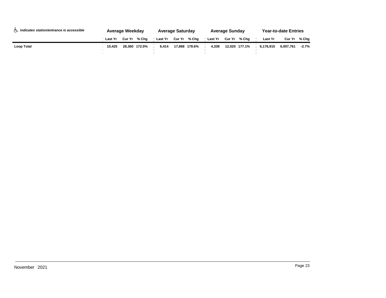| h <i>indicates station/entrance is accessible</i> |                | Average Weekday |               |         | <b>Average Saturday</b><br><b>Average Sunday</b> |  |         |  |               |           | <b>Year-to-date Entries</b> |         |  |
|---------------------------------------------------|----------------|-----------------|---------------|---------|--------------------------------------------------|--|---------|--|---------------|-----------|-----------------------------|---------|--|
|                                                   | <b>Last Yr</b> |                 | Cur Yr % Cha  | Last Yr | Cur Yr % Cha                                     |  | Last Yr |  | Cur Yr % Cha  | Last Yr   | Cur Yr                      | % Cha   |  |
| Loop Total                                        | 10.425         |                 | 28.360 172.0% | 6.414   | 17.868 178.6%                                    |  | 4.338   |  | 12.020 177.1% | 6.176.915 | 6.007.761                   | $-2.7%$ |  |
|                                                   |                |                 |               |         |                                                  |  |         |  |               |           |                             |         |  |